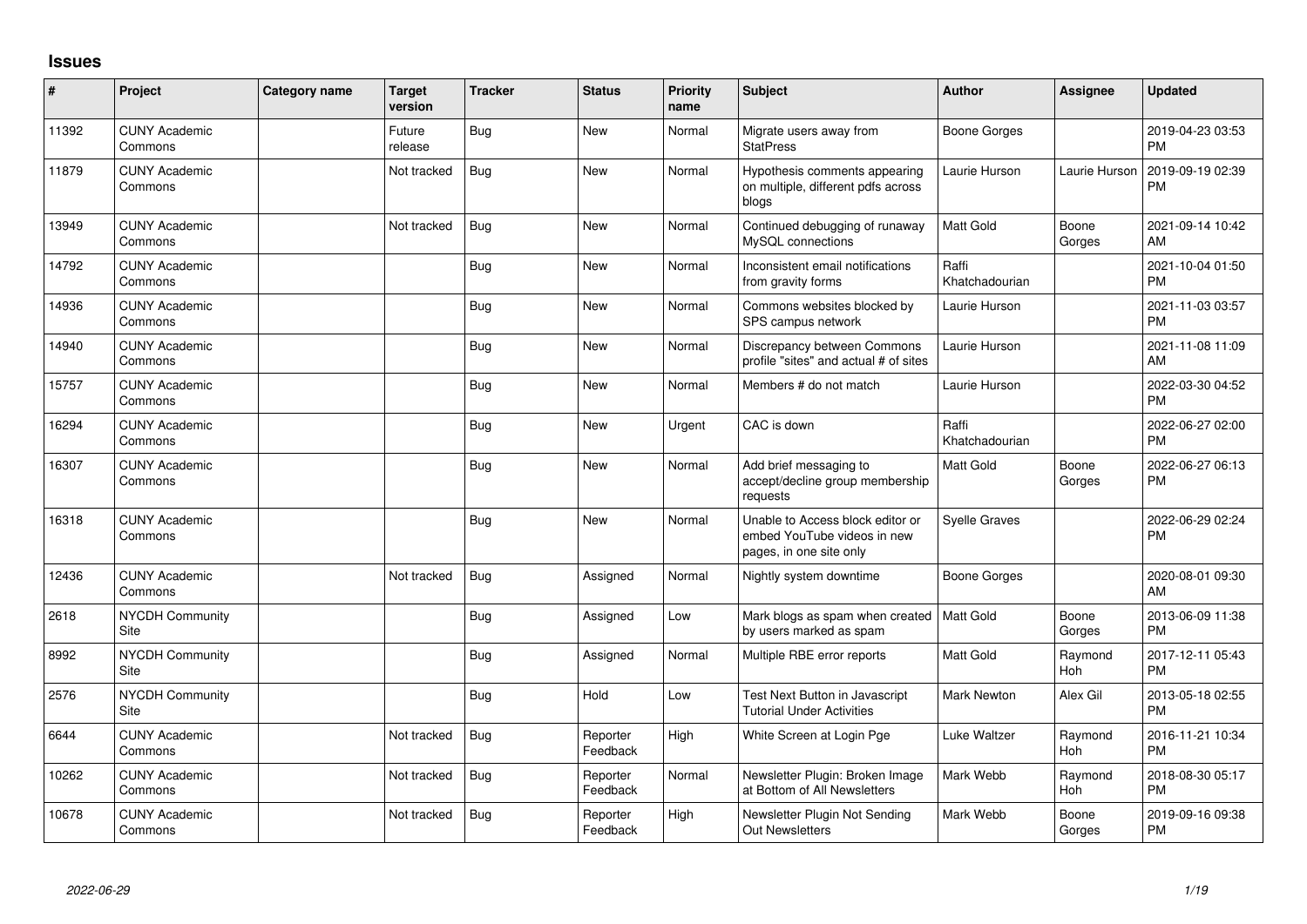## **Issues**

| $\sharp$ | Project                         | Category name | <b>Target</b><br>version | <b>Tracker</b> | <b>Status</b>        | Priority<br>name | <b>Subject</b>                                                                             | Author                  | <b>Assignee</b> | <b>Updated</b>                |
|----------|---------------------------------|---------------|--------------------------|----------------|----------------------|------------------|--------------------------------------------------------------------------------------------|-------------------------|-----------------|-------------------------------|
| 11392    | <b>CUNY Academic</b><br>Commons |               | Future<br>release        | <b>Bug</b>     | <b>New</b>           | Normal           | Migrate users away from<br><b>StatPress</b>                                                | Boone Gorges            |                 | 2019-04-23 03:53<br><b>PM</b> |
| 11879    | <b>CUNY Academic</b><br>Commons |               | Not tracked              | <b>Bug</b>     | <b>New</b>           | Normal           | Hypothesis comments appearing<br>on multiple, different pdfs across<br>blogs               | Laurie Hurson           | Laurie Hurson   | 2019-09-19 02:39<br><b>PM</b> |
| 13949    | <b>CUNY Academic</b><br>Commons |               | Not tracked              | <b>Bug</b>     | <b>New</b>           | Normal           | Continued debugging of runaway<br>MySQL connections                                        | <b>Matt Gold</b>        | Boone<br>Gorges | 2021-09-14 10:42<br>AM        |
| 14792    | <b>CUNY Academic</b><br>Commons |               |                          | <b>Bug</b>     | <b>New</b>           | Normal           | Inconsistent email notifications<br>from gravity forms                                     | Raffi<br>Khatchadourian |                 | 2021-10-04 01:50<br><b>PM</b> |
| 14936    | <b>CUNY Academic</b><br>Commons |               |                          | <b>Bug</b>     | New                  | Normal           | Commons websites blocked by<br>SPS campus network                                          | Laurie Hurson           |                 | 2021-11-03 03:57<br><b>PM</b> |
| 14940    | CUNY Academic<br>Commons        |               |                          | Bug            | <b>New</b>           | Normal           | Discrepancy between Commons<br>profile "sites" and actual # of sites                       | Laurie Hurson           |                 | 2021-11-08 11:09<br>AM        |
| 15757    | CUNY Academic<br>Commons        |               |                          | Bug            | <b>New</b>           | Normal           | Members # do not match                                                                     | Laurie Hurson           |                 | 2022-03-30 04:52<br><b>PM</b> |
| 16294    | <b>CUNY Academic</b><br>Commons |               |                          | Bug            | <b>New</b>           | Urgent           | CAC is down                                                                                | Raffi<br>Khatchadourian |                 | 2022-06-27 02:00<br><b>PM</b> |
| 16307    | CUNY Academic<br>Commons        |               |                          | Bug            | <b>New</b>           | Normal           | Add brief messaging to<br>accept/decline group membership<br>requests                      | <b>Matt Gold</b>        | Boone<br>Gorges | 2022-06-27 06:13<br><b>PM</b> |
| 16318    | <b>CUNY Academic</b><br>Commons |               |                          | <b>Bug</b>     | <b>New</b>           | Normal           | Unable to Access block editor or<br>embed YouTube videos in new<br>pages, in one site only | <b>Syelle Graves</b>    |                 | 2022-06-29 02:24<br><b>PM</b> |
| 12436    | <b>CUNY Academic</b><br>Commons |               | Not tracked              | <b>Bug</b>     | Assigned             | Normal           | Nightly system downtime                                                                    | Boone Gorges            |                 | 2020-08-01 09:30<br>AM        |
| 2618     | <b>NYCDH Community</b><br>Site  |               |                          | Bug            | Assigned             | Low              | Mark blogs as spam when created   Matt Gold<br>by users marked as spam                     |                         | Boone<br>Gorges | 2013-06-09 11:38<br><b>PM</b> |
| 8992     | NYCDH Community<br>Site         |               |                          | <b>Bug</b>     | Assigned             | Normal           | Multiple RBE error reports                                                                 | <b>Matt Gold</b>        | Raymond<br>Hoh  | 2017-12-11 05:43<br><b>PM</b> |
| 2576     | NYCDH Community<br>Site         |               |                          | <b>Bug</b>     | Hold                 | Low              | Test Next Button in Javascript<br><b>Tutorial Under Activities</b>                         | <b>Mark Newton</b>      | Alex Gil        | 2013-05-18 02:55<br><b>PM</b> |
| 6644     | <b>CUNY Academic</b><br>Commons |               | Not tracked              | <b>Bug</b>     | Reporter<br>Feedback | High             | White Screen at Login Pge                                                                  | Luke Waltzer            | Raymond<br>Hoh  | 2016-11-21 10:34<br><b>PM</b> |
| 10262    | <b>CUNY Academic</b><br>Commons |               | Not tracked              | Bug            | Reporter<br>Feedback | Normal           | Newsletter Plugin: Broken Image<br>at Bottom of All Newsletters                            | Mark Webb               | Raymond<br>Hoh  | 2018-08-30 05:17<br><b>PM</b> |
| 10678    | <b>CUNY Academic</b><br>Commons |               | Not tracked              | <b>Bug</b>     | Reporter<br>Feedback | High             | Newsletter Plugin Not Sending<br>Out Newsletters                                           | Mark Webb               | Boone<br>Gorges | 2019-09-16 09:38<br><b>PM</b> |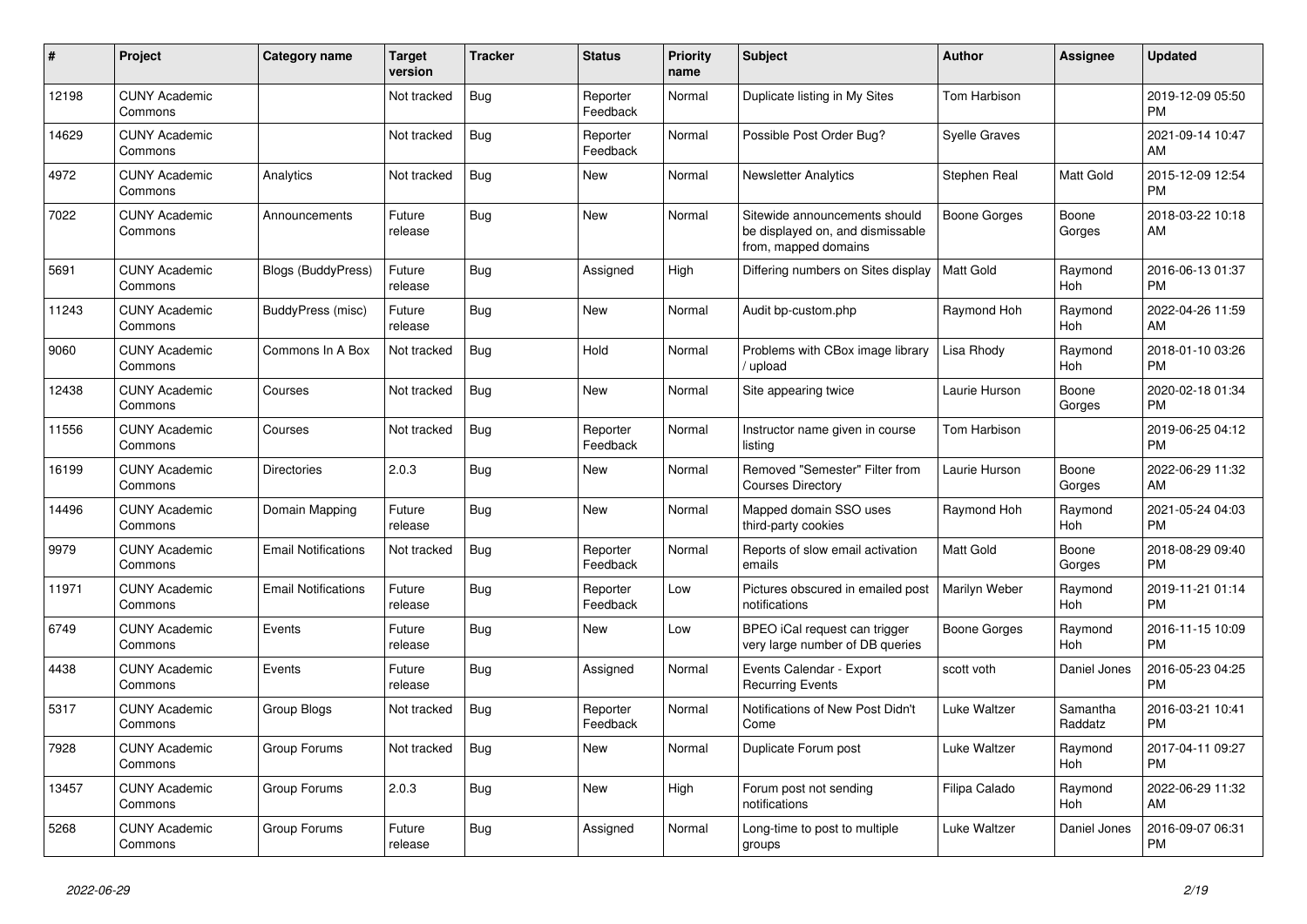| #     | Project                         | <b>Category name</b>       | <b>Target</b><br>version | <b>Tracker</b> | <b>Status</b>        | <b>Priority</b><br>name | <b>Subject</b>                                                                            | <b>Author</b>        | <b>Assignee</b>     | <b>Updated</b>                |
|-------|---------------------------------|----------------------------|--------------------------|----------------|----------------------|-------------------------|-------------------------------------------------------------------------------------------|----------------------|---------------------|-------------------------------|
| 12198 | <b>CUNY Academic</b><br>Commons |                            | Not tracked              | <b>Bug</b>     | Reporter<br>Feedback | Normal                  | Duplicate listing in My Sites                                                             | Tom Harbison         |                     | 2019-12-09 05:50<br><b>PM</b> |
| 14629 | <b>CUNY Academic</b><br>Commons |                            | Not tracked              | <b>Bug</b>     | Reporter<br>Feedback | Normal                  | Possible Post Order Bug?                                                                  | <b>Syelle Graves</b> |                     | 2021-09-14 10:47<br>AM        |
| 4972  | <b>CUNY Academic</b><br>Commons | Analytics                  | Not tracked              | <b>Bug</b>     | New                  | Normal                  | Newsletter Analytics                                                                      | Stephen Real         | Matt Gold           | 2015-12-09 12:54<br><b>PM</b> |
| 7022  | <b>CUNY Academic</b><br>Commons | Announcements              | Future<br>release        | <b>Bug</b>     | <b>New</b>           | Normal                  | Sitewide announcements should<br>be displayed on, and dismissable<br>from, mapped domains | <b>Boone Gorges</b>  | Boone<br>Gorges     | 2018-03-22 10:18<br>AM        |
| 5691  | <b>CUNY Academic</b><br>Commons | <b>Blogs (BuddyPress)</b>  | Future<br>release        | Bug            | Assigned             | High                    | Differing numbers on Sites display                                                        | <b>Matt Gold</b>     | Raymond<br>Hoh      | 2016-06-13 01:37<br><b>PM</b> |
| 11243 | <b>CUNY Academic</b><br>Commons | BuddyPress (misc)          | Future<br>release        | <b>Bug</b>     | <b>New</b>           | Normal                  | Audit bp-custom.php                                                                       | Raymond Hoh          | Raymond<br>Hoh      | 2022-04-26 11:59<br>AM        |
| 9060  | <b>CUNY Academic</b><br>Commons | Commons In A Box           | Not tracked              | Bug            | Hold                 | Normal                  | Problems with CBox image library<br>/ upload                                              | Lisa Rhody           | Raymond<br>Hoh      | 2018-01-10 03:26<br><b>PM</b> |
| 12438 | <b>CUNY Academic</b><br>Commons | Courses                    | Not tracked              | Bug            | <b>New</b>           | Normal                  | Site appearing twice                                                                      | Laurie Hurson        | Boone<br>Gorges     | 2020-02-18 01:34<br><b>PM</b> |
| 11556 | <b>CUNY Academic</b><br>Commons | Courses                    | Not tracked              | Bug            | Reporter<br>Feedback | Normal                  | Instructor name given in course<br>listing                                                | Tom Harbison         |                     | 2019-06-25 04:12<br><b>PM</b> |
| 16199 | <b>CUNY Academic</b><br>Commons | <b>Directories</b>         | 2.0.3                    | Bug            | <b>New</b>           | Normal                  | Removed "Semester" Filter from<br><b>Courses Directory</b>                                | Laurie Hurson        | Boone<br>Gorges     | 2022-06-29 11:32<br>AM        |
| 14496 | <b>CUNY Academic</b><br>Commons | Domain Mapping             | Future<br>release        | <b>Bug</b>     | <b>New</b>           | Normal                  | Mapped domain SSO uses<br>third-party cookies                                             | Raymond Hoh          | Raymond<br>Hoh      | 2021-05-24 04:03<br><b>PM</b> |
| 9979  | <b>CUNY Academic</b><br>Commons | <b>Email Notifications</b> | Not tracked              | Bug            | Reporter<br>Feedback | Normal                  | Reports of slow email activation<br>emails                                                | <b>Matt Gold</b>     | Boone<br>Gorges     | 2018-08-29 09:40<br><b>PM</b> |
| 11971 | <b>CUNY Academic</b><br>Commons | <b>Email Notifications</b> | Future<br>release        | <b>Bug</b>     | Reporter<br>Feedback | Low                     | Pictures obscured in emailed post<br>notifications                                        | Marilyn Weber        | Raymond<br>Hoh      | 2019-11-21 01:14<br><b>PM</b> |
| 6749  | <b>CUNY Academic</b><br>Commons | Events                     | Future<br>release        | Bug            | New                  | Low                     | BPEO iCal request can trigger<br>very large number of DB queries                          | Boone Gorges         | Raymond<br>Hoh      | 2016-11-15 10:09<br><b>PM</b> |
| 4438  | <b>CUNY Academic</b><br>Commons | Events                     | Future<br>release        | Bug            | Assigned             | Normal                  | Events Calendar - Export<br><b>Recurring Events</b>                                       | scott voth           | Daniel Jones        | 2016-05-23 04:25<br><b>PM</b> |
| 5317  | <b>CUNY Academic</b><br>Commons | Group Blogs                | Not tracked              | <b>Bug</b>     | Reporter<br>Feedback | Normal                  | Notifications of New Post Didn't<br>Come                                                  | Luke Waltzer         | Samantha<br>Raddatz | 2016-03-21 10:41<br><b>PM</b> |
| 7928  | <b>CUNY Academic</b><br>Commons | Group Forums               | Not tracked              | <b>Bug</b>     | <b>New</b>           | Normal                  | Duplicate Forum post                                                                      | Luke Waltzer         | Raymond<br>Hoh      | 2017-04-11 09:27<br><b>PM</b> |
| 13457 | <b>CUNY Academic</b><br>Commons | Group Forums               | 2.0.3                    | <b>Bug</b>     | New                  | High                    | Forum post not sending<br>notifications                                                   | Filipa Calado        | Raymond<br>Hoh      | 2022-06-29 11:32<br>AM        |
| 5268  | <b>CUNY Academic</b><br>Commons | Group Forums               | Future<br>release        | <b>Bug</b>     | Assigned             | Normal                  | Long-time to post to multiple<br>groups                                                   | Luke Waltzer         | Daniel Jones        | 2016-09-07 06:31<br><b>PM</b> |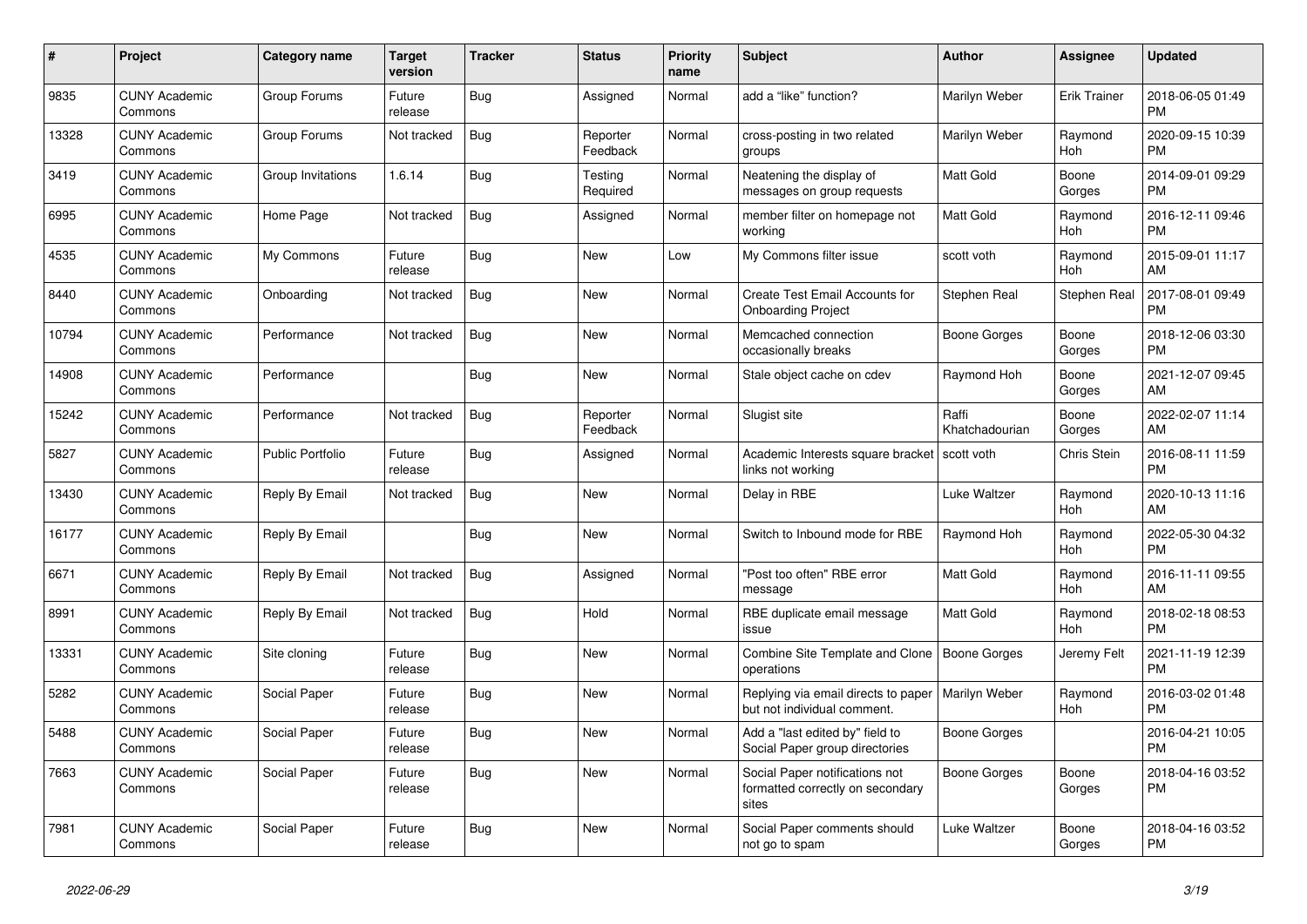| $\#$  | Project                         | <b>Category name</b>    | <b>Target</b><br>version | <b>Tracker</b> | <b>Status</b>        | <b>Priority</b><br>name | <b>Subject</b>                                                              | <b>Author</b>           | <b>Assignee</b>     | <b>Updated</b>                |
|-------|---------------------------------|-------------------------|--------------------------|----------------|----------------------|-------------------------|-----------------------------------------------------------------------------|-------------------------|---------------------|-------------------------------|
| 9835  | <b>CUNY Academic</b><br>Commons | Group Forums            | Future<br>release        | <b>Bug</b>     | Assigned             | Normal                  | add a "like" function?                                                      | Marilyn Weber           | <b>Erik Trainer</b> | 2018-06-05 01:49<br><b>PM</b> |
| 13328 | <b>CUNY Academic</b><br>Commons | Group Forums            | Not tracked              | Bug            | Reporter<br>Feedback | Normal                  | cross-posting in two related<br>groups                                      | Marilyn Weber           | Raymond<br>Hoh      | 2020-09-15 10:39<br><b>PM</b> |
| 3419  | <b>CUNY Academic</b><br>Commons | Group Invitations       | 1.6.14                   | <b>Bug</b>     | Testing<br>Required  | Normal                  | Neatening the display of<br>messages on group requests                      | Matt Gold               | Boone<br>Gorges     | 2014-09-01 09:29<br><b>PM</b> |
| 6995  | <b>CUNY Academic</b><br>Commons | Home Page               | Not tracked              | <b>Bug</b>     | Assigned             | Normal                  | member filter on homepage not<br>workina                                    | Matt Gold               | Raymond<br>Hoh      | 2016-12-11 09:46<br><b>PM</b> |
| 4535  | <b>CUNY Academic</b><br>Commons | My Commons              | Future<br>release        | Bug            | <b>New</b>           | Low                     | My Commons filter issue                                                     | scott voth              | Raymond<br>Hoh      | 2015-09-01 11:17<br>AM        |
| 8440  | <b>CUNY Academic</b><br>Commons | Onboarding              | Not tracked              | <b>Bug</b>     | New                  | Normal                  | Create Test Email Accounts for<br><b>Onboarding Project</b>                 | Stephen Real            | Stephen Real        | 2017-08-01 09:49<br><b>PM</b> |
| 10794 | <b>CUNY Academic</b><br>Commons | Performance             | Not tracked              | Bug            | <b>New</b>           | Normal                  | Memcached connection<br>occasionally breaks                                 | Boone Gorges            | Boone<br>Gorges     | 2018-12-06 03:30<br><b>PM</b> |
| 14908 | <b>CUNY Academic</b><br>Commons | Performance             |                          | Bug            | New                  | Normal                  | Stale object cache on cdev                                                  | Raymond Hoh             | Boone<br>Gorges     | 2021-12-07 09:45<br>AM        |
| 15242 | <b>CUNY Academic</b><br>Commons | Performance             | Not tracked              | <b>Bug</b>     | Reporter<br>Feedback | Normal                  | Slugist site                                                                | Raffi<br>Khatchadourian | Boone<br>Gorges     | 2022-02-07 11:14<br>AM        |
| 5827  | <b>CUNY Academic</b><br>Commons | <b>Public Portfolio</b> | Future<br>release        | Bug            | Assigned             | Normal                  | Academic Interests square bracket<br>links not working                      | scott voth              | Chris Stein         | 2016-08-11 11:59<br><b>PM</b> |
| 13430 | <b>CUNY Academic</b><br>Commons | Reply By Email          | Not tracked              | <b>Bug</b>     | New                  | Normal                  | Delay in RBE                                                                | Luke Waltzer            | Raymond<br>Hoh      | 2020-10-13 11:16<br>AM        |
| 16177 | <b>CUNY Academic</b><br>Commons | Reply By Email          |                          | <b>Bug</b>     | New                  | Normal                  | Switch to Inbound mode for RBE                                              | Raymond Hoh             | Raymond<br>Hoh      | 2022-05-30 04:32<br><b>PM</b> |
| 6671  | <b>CUNY Academic</b><br>Commons | Reply By Email          | Not tracked              | Bug            | Assigned             | Normal                  | "Post too often" RBE error<br>message                                       | <b>Matt Gold</b>        | Raymond<br>Hoh      | 2016-11-11 09:55<br>AM        |
| 8991  | <b>CUNY Academic</b><br>Commons | Reply By Email          | Not tracked              | <b>Bug</b>     | Hold                 | Normal                  | RBE duplicate email message<br>issue                                        | <b>Matt Gold</b>        | Raymond<br>Hoh      | 2018-02-18 08:53<br><b>PM</b> |
| 13331 | <b>CUNY Academic</b><br>Commons | Site cloning            | Future<br>release        | Bug            | New                  | Normal                  | Combine Site Template and Clone<br>operations                               | Boone Gorges            | Jeremy Felt         | 2021-11-19 12:39<br><b>PM</b> |
| 5282  | <b>CUNY Academic</b><br>Commons | Social Paper            | Future<br>release        | Bug            | <b>New</b>           | Normal                  | Replying via email directs to paper<br>but not individual comment.          | Marilyn Weber           | Raymond<br>Hoh      | 2016-03-02 01:48<br><b>PM</b> |
| 5488  | <b>CUNY Academic</b><br>Commons | Social Paper            | Future<br>release        | <b>Bug</b>     | <b>New</b>           | Normal                  | Add a "last edited by" field to<br>Social Paper group directories           | Boone Gorges            |                     | 2016-04-21 10:05<br><b>PM</b> |
| 7663  | <b>CUNY Academic</b><br>Commons | Social Paper            | Future<br>release        | Bug            | <b>New</b>           | Normal                  | Social Paper notifications not<br>formatted correctly on secondary<br>sites | Boone Gorges            | Boone<br>Gorges     | 2018-04-16 03:52<br><b>PM</b> |
| 7981  | <b>CUNY Academic</b><br>Commons | Social Paper            | Future<br>release        | <b>Bug</b>     | <b>New</b>           | Normal                  | Social Paper comments should<br>not go to spam                              | Luke Waltzer            | Boone<br>Gorges     | 2018-04-16 03:52<br><b>PM</b> |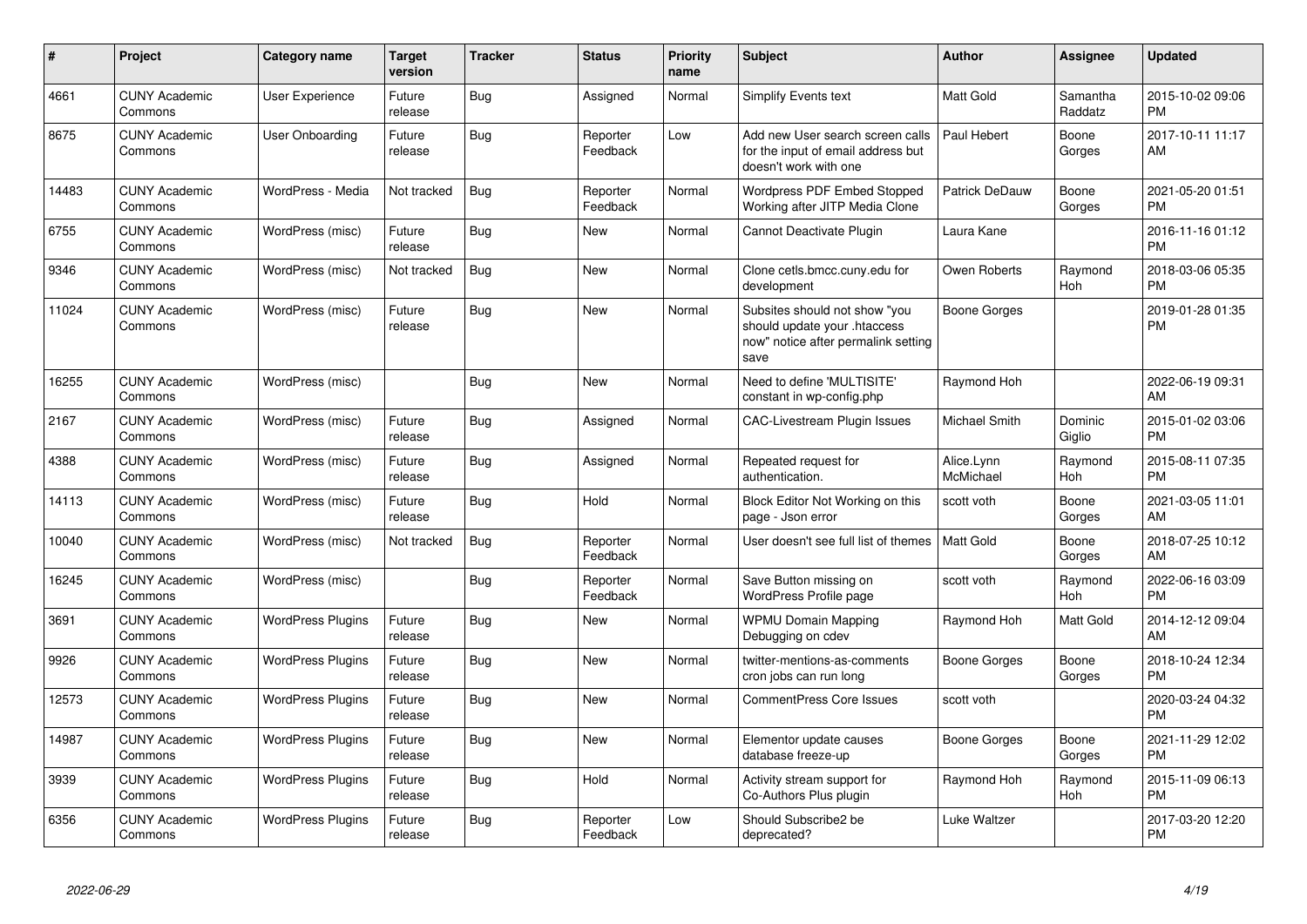| #     | Project                         | Category name            | <b>Target</b><br>version | <b>Tracker</b> | <b>Status</b>        | <b>Priority</b><br>name | <b>Subject</b>                                                                                               | <b>Author</b>           | <b>Assignee</b>       | <b>Updated</b>                |
|-------|---------------------------------|--------------------------|--------------------------|----------------|----------------------|-------------------------|--------------------------------------------------------------------------------------------------------------|-------------------------|-----------------------|-------------------------------|
| 4661  | <b>CUNY Academic</b><br>Commons | User Experience          | Future<br>release        | <b>Bug</b>     | Assigned             | Normal                  | Simplify Events text                                                                                         | Matt Gold               | Samantha<br>Raddatz   | 2015-10-02 09:06<br><b>PM</b> |
| 8675  | <b>CUNY Academic</b><br>Commons | User Onboarding          | Future<br>release        | Bug            | Reporter<br>Feedback | Low                     | Add new User search screen calls<br>for the input of email address but<br>doesn't work with one              | Paul Hebert             | Boone<br>Gorges       | 2017-10-11 11:17<br>AM        |
| 14483 | <b>CUNY Academic</b><br>Commons | WordPress - Media        | Not tracked              | Bug            | Reporter<br>Feedback | Normal                  | Wordpress PDF Embed Stopped<br>Working after JITP Media Clone                                                | Patrick DeDauw          | Boone<br>Gorges       | 2021-05-20 01:51<br>PM        |
| 6755  | <b>CUNY Academic</b><br>Commons | WordPress (misc)         | Future<br>release        | Bug            | New                  | Normal                  | Cannot Deactivate Plugin                                                                                     | Laura Kane              |                       | 2016-11-16 01:12<br><b>PM</b> |
| 9346  | <b>CUNY Academic</b><br>Commons | WordPress (misc)         | Not tracked              | Bug            | New                  | Normal                  | Clone cetls.bmcc.cuny.edu for<br>development                                                                 | Owen Roberts            | Raymond<br><b>Hoh</b> | 2018-03-06 05:35<br><b>PM</b> |
| 11024 | <b>CUNY Academic</b><br>Commons | WordPress (misc)         | Future<br>release        | <b>Bug</b>     | <b>New</b>           | Normal                  | Subsites should not show "you<br>should update your .htaccess<br>now" notice after permalink setting<br>save | <b>Boone Gorges</b>     |                       | 2019-01-28 01:35<br><b>PM</b> |
| 16255 | <b>CUNY Academic</b><br>Commons | WordPress (misc)         |                          | <b>Bug</b>     | <b>New</b>           | Normal                  | Need to define 'MULTISITE'<br>constant in wp-config.php                                                      | Raymond Hoh             |                       | 2022-06-19 09:31<br>AM        |
| 2167  | <b>CUNY Academic</b><br>Commons | WordPress (misc)         | Future<br>release        | Bug            | Assigned             | Normal                  | <b>CAC-Livestream Plugin Issues</b>                                                                          | Michael Smith           | Dominic<br>Giglio     | 2015-01-02 03:06<br>PM        |
| 4388  | <b>CUNY Academic</b><br>Commons | WordPress (misc)         | Future<br>release        | Bug            | Assigned             | Normal                  | Repeated request for<br>authentication.                                                                      | Alice.Lynn<br>McMichael | Raymond<br><b>Hoh</b> | 2015-08-11 07:35<br><b>PM</b> |
| 14113 | <b>CUNY Academic</b><br>Commons | WordPress (misc)         | Future<br>release        | Bug            | Hold                 | Normal                  | Block Editor Not Working on this<br>page - Json error                                                        | scott voth              | Boone<br>Gorges       | 2021-03-05 11:01<br>AM        |
| 10040 | <b>CUNY Academic</b><br>Commons | WordPress (misc)         | Not tracked              | <b>Bug</b>     | Reporter<br>Feedback | Normal                  | User doesn't see full list of themes                                                                         | Matt Gold               | Boone<br>Gorges       | 2018-07-25 10:12<br>AM        |
| 16245 | <b>CUNY Academic</b><br>Commons | WordPress (misc)         |                          | <b>Bug</b>     | Reporter<br>Feedback | Normal                  | Save Button missing on<br>WordPress Profile page                                                             | scott voth              | Raymond<br><b>Hoh</b> | 2022-06-16 03:09<br><b>PM</b> |
| 3691  | <b>CUNY Academic</b><br>Commons | <b>WordPress Plugins</b> | Future<br>release        | <b>Bug</b>     | <b>New</b>           | Normal                  | <b>WPMU Domain Mapping</b><br>Debugging on cdev                                                              | Raymond Hoh             | Matt Gold             | 2014-12-12 09:04<br>AM        |
| 9926  | <b>CUNY Academic</b><br>Commons | <b>WordPress Plugins</b> | Future<br>release        | Bug            | <b>New</b>           | Normal                  | twitter-mentions-as-comments<br>cron jobs can run long                                                       | Boone Gorges            | Boone<br>Gorges       | 2018-10-24 12:34<br>PM        |
| 12573 | <b>CUNY Academic</b><br>Commons | <b>WordPress Plugins</b> | Future<br>release        | <b>Bug</b>     | <b>New</b>           | Normal                  | <b>CommentPress Core Issues</b>                                                                              | scott voth              |                       | 2020-03-24 04:32<br><b>PM</b> |
| 14987 | <b>CUNY Academic</b><br>Commons | <b>WordPress Plugins</b> | Future<br>release        | <b>Bug</b>     | <b>New</b>           | Normal                  | Elementor update causes<br>database freeze-up                                                                | <b>Boone Gorges</b>     | Boone<br>Gorges       | 2021-11-29 12:02<br><b>PM</b> |
| 3939  | <b>CUNY Academic</b><br>Commons | <b>WordPress Plugins</b> | Future<br>release        | Bug            | Hold                 | Normal                  | Activity stream support for<br>Co-Authors Plus plugin                                                        | Raymond Hoh             | Raymond<br>Hoh        | 2015-11-09 06:13<br><b>PM</b> |
| 6356  | <b>CUNY Academic</b><br>Commons | <b>WordPress Plugins</b> | Future<br>release        | <b>Bug</b>     | Reporter<br>Feedback | Low                     | Should Subscribe2 be<br>deprecated?                                                                          | Luke Waltzer            |                       | 2017-03-20 12:20<br><b>PM</b> |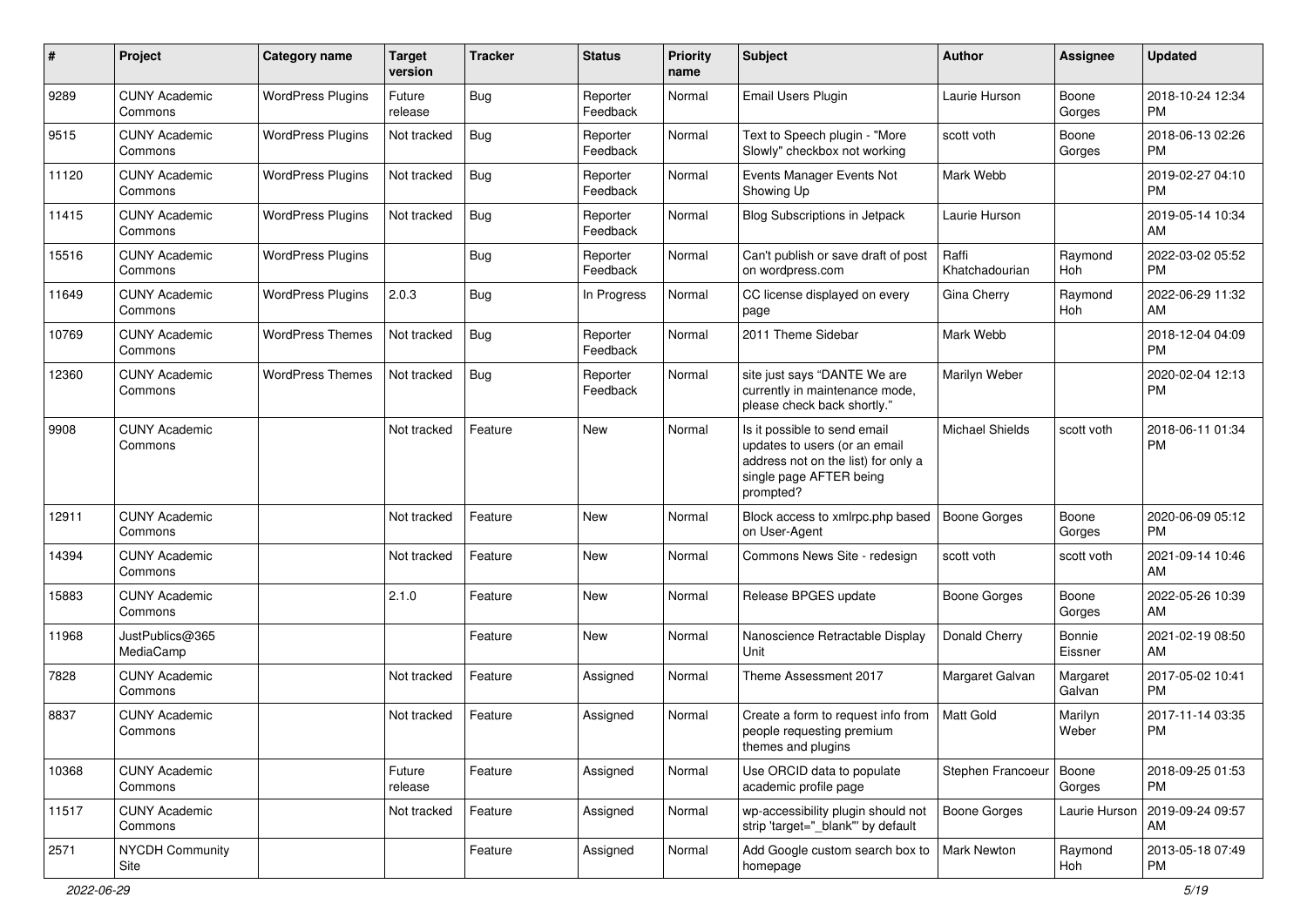| #     | Project                         | Category name            | <b>Target</b><br>version | <b>Tracker</b> | <b>Status</b>        | <b>Priority</b><br>name | Subject                                                                                                                                      | Author                  | Assignee           | <b>Updated</b>                |
|-------|---------------------------------|--------------------------|--------------------------|----------------|----------------------|-------------------------|----------------------------------------------------------------------------------------------------------------------------------------------|-------------------------|--------------------|-------------------------------|
| 9289  | <b>CUNY Academic</b><br>Commons | <b>WordPress Plugins</b> | Future<br>release        | <b>Bug</b>     | Reporter<br>Feedback | Normal                  | Email Users Plugin                                                                                                                           | Laurie Hurson           | Boone<br>Gorges    | 2018-10-24 12:34<br><b>PM</b> |
| 9515  | <b>CUNY Academic</b><br>Commons | <b>WordPress Plugins</b> | Not tracked              | Bug            | Reporter<br>Feedback | Normal                  | Text to Speech plugin - "More<br>Slowly" checkbox not working                                                                                | scott voth              | Boone<br>Gorges    | 2018-06-13 02:26<br><b>PM</b> |
| 11120 | <b>CUNY Academic</b><br>Commons | <b>WordPress Plugins</b> | Not tracked              | Bug            | Reporter<br>Feedback | Normal                  | Events Manager Events Not<br>Showing Up                                                                                                      | Mark Webb               |                    | 2019-02-27 04:10<br><b>PM</b> |
| 11415 | <b>CUNY Academic</b><br>Commons | <b>WordPress Plugins</b> | Not tracked              | Bug            | Reporter<br>Feedback | Normal                  | <b>Blog Subscriptions in Jetpack</b>                                                                                                         | Laurie Hurson           |                    | 2019-05-14 10:34<br>AM        |
| 15516 | <b>CUNY Academic</b><br>Commons | <b>WordPress Plugins</b> |                          | <b>Bug</b>     | Reporter<br>Feedback | Normal                  | Can't publish or save draft of post<br>on wordpress.com                                                                                      | Raffi<br>Khatchadourian | Raymond<br>Hoh     | 2022-03-02 05:52<br><b>PM</b> |
| 11649 | <b>CUNY Academic</b><br>Commons | <b>WordPress Plugins</b> | 2.0.3                    | Bug            | In Progress          | Normal                  | CC license displayed on every<br>page                                                                                                        | Gina Cherry             | Raymond<br>Hoh     | 2022-06-29 11:32<br>AM        |
| 10769 | <b>CUNY Academic</b><br>Commons | <b>WordPress Themes</b>  | Not tracked              | <b>Bug</b>     | Reporter<br>Feedback | Normal                  | 2011 Theme Sidebar                                                                                                                           | Mark Webb               |                    | 2018-12-04 04:09<br><b>PM</b> |
| 12360 | <b>CUNY Academic</b><br>Commons | <b>WordPress Themes</b>  | Not tracked              | <b>Bug</b>     | Reporter<br>Feedback | Normal                  | site just says "DANTE We are<br>currently in maintenance mode,<br>please check back shortly."                                                | Marilyn Weber           |                    | 2020-02-04 12:13<br><b>PM</b> |
| 9908  | <b>CUNY Academic</b><br>Commons |                          | Not tracked              | Feature        | <b>New</b>           | Normal                  | Is it possible to send email<br>updates to users (or an email<br>address not on the list) for only a<br>single page AFTER being<br>prompted? | <b>Michael Shields</b>  | scott voth         | 2018-06-11 01:34<br><b>PM</b> |
| 12911 | <b>CUNY Academic</b><br>Commons |                          | Not tracked              | Feature        | <b>New</b>           | Normal                  | Block access to xmlrpc.php based<br>on User-Agent                                                                                            | <b>Boone Gorges</b>     | Boone<br>Gorges    | 2020-06-09 05:12<br><b>PM</b> |
| 14394 | <b>CUNY Academic</b><br>Commons |                          | Not tracked              | Feature        | <b>New</b>           | Normal                  | Commons News Site - redesign                                                                                                                 | scott voth              | scott voth         | 2021-09-14 10:46<br>AM        |
| 15883 | <b>CUNY Academic</b><br>Commons |                          | 2.1.0                    | Feature        | <b>New</b>           | Normal                  | Release BPGES update                                                                                                                         | <b>Boone Gorges</b>     | Boone<br>Gorges    | 2022-05-26 10:39<br>AM        |
| 11968 | JustPublics@365<br>MediaCamp    |                          |                          | Feature        | <b>New</b>           | Normal                  | Nanoscience Retractable Display<br>Unit                                                                                                      | Donald Cherry           | Bonnie<br>Eissner  | 2021-02-19 08:50<br>AM        |
| 7828  | <b>CUNY Academic</b><br>Commons |                          | Not tracked              | Feature        | Assigned             | Normal                  | Theme Assessment 2017                                                                                                                        | Margaret Galvan         | Margaret<br>Galvan | 2017-05-02 10:41<br><b>PM</b> |
| 8837  | <b>CUNY Academic</b><br>Commons |                          | Not tracked              | Feature        | Assigned             | Normal                  | Create a form to request info from<br>people requesting premium<br>themes and plugins                                                        | Matt Gold               | Marilyn<br>Weber   | 2017-11-14 03:35<br><b>PM</b> |
| 10368 | <b>CUNY Academic</b><br>Commons |                          | Future<br>release        | Feature        | Assigned             | Normal                  | Use ORCID data to populate<br>academic profile page                                                                                          | Stephen Francoeur       | Boone<br>Gorges    | 2018-09-25 01:53<br><b>PM</b> |
| 11517 | <b>CUNY Academic</b><br>Commons |                          | Not tracked              | Feature        | Assigned             | Normal                  | wp-accessibility plugin should not<br>strip 'target="_blank"' by default                                                                     | <b>Boone Gorges</b>     | Laurie Hurson      | 2019-09-24 09:57<br>AM        |
| 2571  | NYCDH Community<br>Site         |                          |                          | Feature        | Assigned             | Normal                  | Add Google custom search box to<br>homepage                                                                                                  | Mark Newton             | Raymond<br>Hoh     | 2013-05-18 07:49<br>PM        |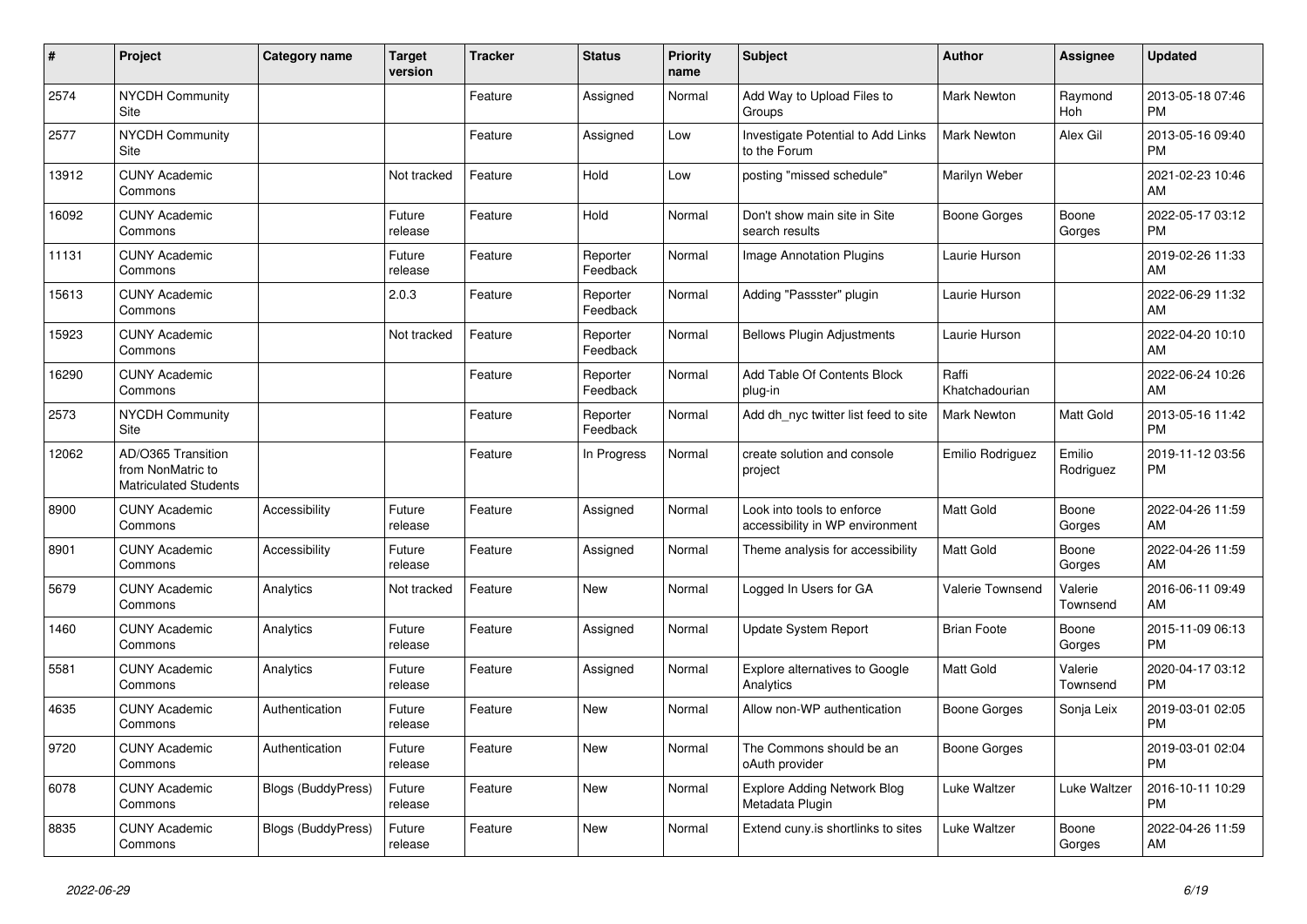| #     | Project                                                                 | <b>Category name</b>      | <b>Target</b><br>version | <b>Tracker</b> | <b>Status</b>        | <b>Priority</b><br>name | Subject                                                       | <b>Author</b>           | <b>Assignee</b>     | <b>Updated</b>                |
|-------|-------------------------------------------------------------------------|---------------------------|--------------------------|----------------|----------------------|-------------------------|---------------------------------------------------------------|-------------------------|---------------------|-------------------------------|
| 2574  | <b>NYCDH Community</b><br>Site                                          |                           |                          | Feature        | Assigned             | Normal                  | Add Way to Upload Files to<br>Groups                          | Mark Newton             | Raymond<br>Hoh      | 2013-05-18 07:46<br><b>PM</b> |
| 2577  | <b>NYCDH Community</b><br>Site                                          |                           |                          | Feature        | Assigned             | Low                     | Investigate Potential to Add Links<br>to the Forum            | <b>Mark Newton</b>      | Alex Gil            | 2013-05-16 09:40<br><b>PM</b> |
| 13912 | <b>CUNY Academic</b><br>Commons                                         |                           | Not tracked              | Feature        | Hold                 | Low                     | posting "missed schedule"                                     | Marilyn Weber           |                     | 2021-02-23 10:46<br>AM        |
| 16092 | <b>CUNY Academic</b><br>Commons                                         |                           | Future<br>release        | Feature        | Hold                 | Normal                  | Don't show main site in Site<br>search results                | Boone Gorges            | Boone<br>Gorges     | 2022-05-17 03:12<br><b>PM</b> |
| 11131 | <b>CUNY Academic</b><br>Commons                                         |                           | Future<br>release        | Feature        | Reporter<br>Feedback | Normal                  | Image Annotation Plugins                                      | Laurie Hurson           |                     | 2019-02-26 11:33<br>AM        |
| 15613 | <b>CUNY Academic</b><br>Commons                                         |                           | 2.0.3                    | Feature        | Reporter<br>Feedback | Normal                  | Adding "Passster" plugin                                      | Laurie Hurson           |                     | 2022-06-29 11:32<br>AM        |
| 15923 | <b>CUNY Academic</b><br>Commons                                         |                           | Not tracked              | Feature        | Reporter<br>Feedback | Normal                  | <b>Bellows Plugin Adjustments</b>                             | Laurie Hurson           |                     | 2022-04-20 10:10<br>AM        |
| 16290 | <b>CUNY Academic</b><br>Commons                                         |                           |                          | Feature        | Reporter<br>Feedback | Normal                  | Add Table Of Contents Block<br>plug-in                        | Raffi<br>Khatchadourian |                     | 2022-06-24 10:26<br>AM        |
| 2573  | <b>NYCDH Community</b><br>Site                                          |                           |                          | Feature        | Reporter<br>Feedback | Normal                  | Add dh_nyc twitter list feed to site                          | <b>Mark Newton</b>      | Matt Gold           | 2013-05-16 11:42<br><b>PM</b> |
| 12062 | AD/O365 Transition<br>from NonMatric to<br><b>Matriculated Students</b> |                           |                          | Feature        | In Progress          | Normal                  | create solution and console<br>project                        | Emilio Rodriguez        | Emilio<br>Rodriguez | 2019-11-12 03:56<br><b>PM</b> |
| 8900  | <b>CUNY Academic</b><br>Commons                                         | Accessibility             | Future<br>release        | Feature        | Assigned             | Normal                  | Look into tools to enforce<br>accessibility in WP environment | <b>Matt Gold</b>        | Boone<br>Gorges     | 2022-04-26 11:59<br>AM        |
| 8901  | <b>CUNY Academic</b><br>Commons                                         | Accessibility             | Future<br>release        | Feature        | Assigned             | Normal                  | Theme analysis for accessibility                              | <b>Matt Gold</b>        | Boone<br>Gorges     | 2022-04-26 11:59<br>AM        |
| 5679  | <b>CUNY Academic</b><br>Commons                                         | Analytics                 | Not tracked              | Feature        | <b>New</b>           | Normal                  | Logged In Users for GA                                        | Valerie Townsend        | Valerie<br>Townsend | 2016-06-11 09:49<br>AM        |
| 1460  | <b>CUNY Academic</b><br>Commons                                         | Analytics                 | Future<br>release        | Feature        | Assigned             | Normal                  | <b>Update System Report</b>                                   | <b>Brian Foote</b>      | Boone<br>Gorges     | 2015-11-09 06:13<br><b>PM</b> |
| 5581  | <b>CUNY Academic</b><br>Commons                                         | Analytics                 | Future<br>release        | Feature        | Assigned             | Normal                  | <b>Explore alternatives to Google</b><br>Analytics            | <b>Matt Gold</b>        | Valerie<br>Townsend | 2020-04-17 03:12<br><b>PM</b> |
| 4635  | <b>CUNY Academic</b><br>Commons                                         | Authentication            | Future<br>release        | Feature        | <b>New</b>           | Normal                  | Allow non-WP authentication                                   | Boone Gorges            | Sonja Leix          | 2019-03-01 02:05<br><b>PM</b> |
| 9720  | <b>CUNY Academic</b><br>Commons                                         | Authentication            | Future<br>release        | Feature        | <b>New</b>           | Normal                  | The Commons should be an<br>oAuth provider                    | Boone Gorges            |                     | 2019-03-01 02:04<br><b>PM</b> |
| 6078  | <b>CUNY Academic</b><br>Commons                                         | <b>Blogs (BuddyPress)</b> | Future<br>release        | Feature        | <b>New</b>           | Normal                  | <b>Explore Adding Network Blog</b><br>Metadata Plugin         | Luke Waltzer            | Luke Waltzer        | 2016-10-11 10:29<br><b>PM</b> |
| 8835  | <b>CUNY Academic</b><br>Commons                                         | <b>Blogs (BuddyPress)</b> | Future<br>release        | Feature        | <b>New</b>           | Normal                  | Extend cuny is shortlinks to sites                            | Luke Waltzer            | Boone<br>Gorges     | 2022-04-26 11:59<br>AM        |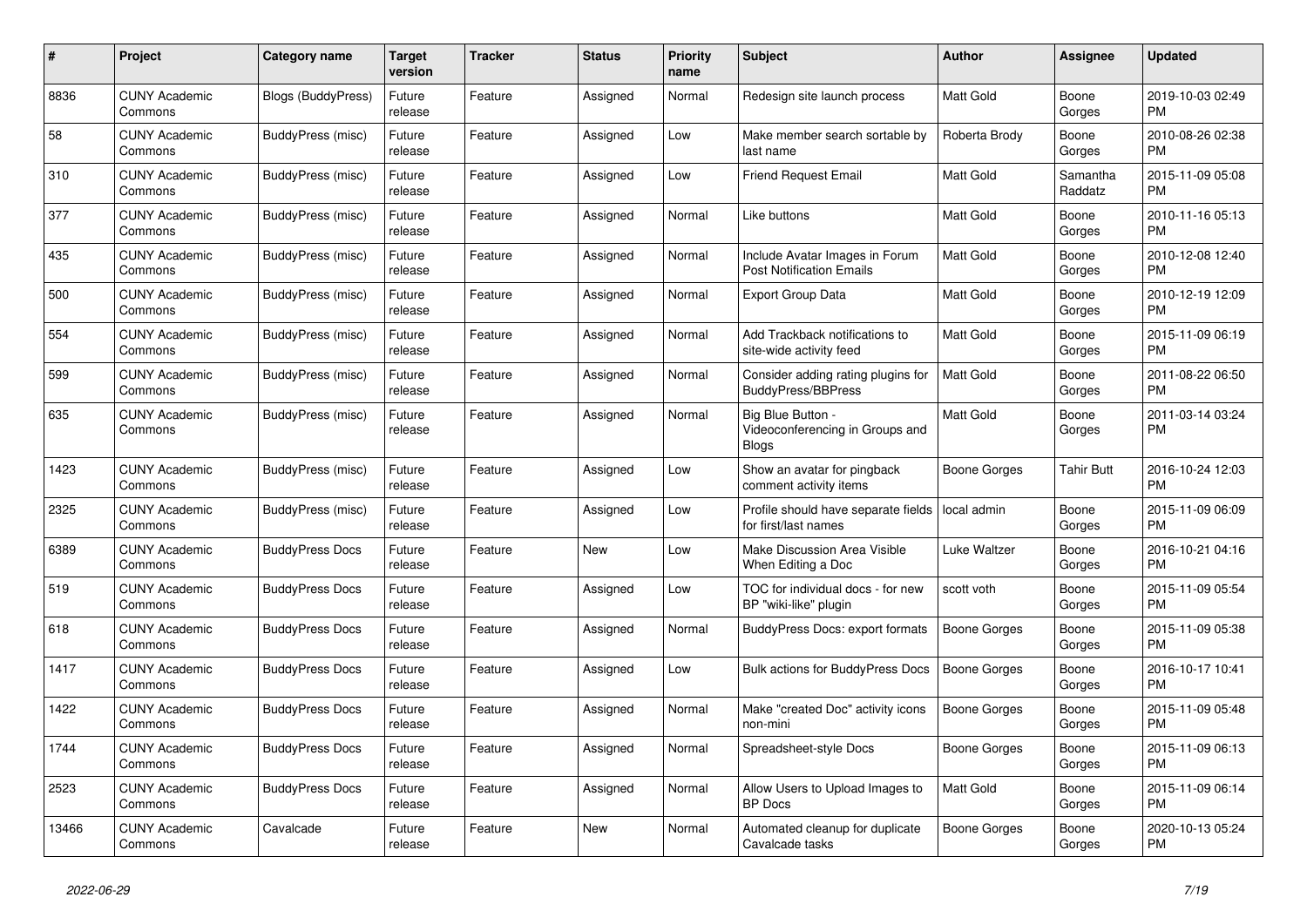| #     | Project                         | <b>Category name</b>   | Target<br>version | <b>Tracker</b> | <b>Status</b> | <b>Priority</b><br>name | <b>Subject</b>                                                    | <b>Author</b>       | Assignee            | <b>Updated</b>                |
|-------|---------------------------------|------------------------|-------------------|----------------|---------------|-------------------------|-------------------------------------------------------------------|---------------------|---------------------|-------------------------------|
| 8836  | <b>CUNY Academic</b><br>Commons | Blogs (BuddyPress)     | Future<br>release | Feature        | Assigned      | Normal                  | Redesign site launch process                                      | Matt Gold           | Boone<br>Gorges     | 2019-10-03 02:49<br><b>PM</b> |
| 58    | <b>CUNY Academic</b><br>Commons | BuddyPress (misc)      | Future<br>release | Feature        | Assigned      | Low                     | Make member search sortable by<br>last name                       | Roberta Brody       | Boone<br>Gorges     | 2010-08-26 02:38<br><b>PM</b> |
| 310   | <b>CUNY Academic</b><br>Commons | BuddyPress (misc)      | Future<br>release | Feature        | Assigned      | Low                     | <b>Friend Request Email</b>                                       | Matt Gold           | Samantha<br>Raddatz | 2015-11-09 05:08<br><b>PM</b> |
| 377   | <b>CUNY Academic</b><br>Commons | BuddyPress (misc)      | Future<br>release | Feature        | Assigned      | Normal                  | Like buttons                                                      | Matt Gold           | Boone<br>Gorges     | 2010-11-16 05:13<br><b>PM</b> |
| 435   | <b>CUNY Academic</b><br>Commons | BuddyPress (misc)      | Future<br>release | Feature        | Assigned      | Normal                  | Include Avatar Images in Forum<br><b>Post Notification Emails</b> | Matt Gold           | Boone<br>Gorges     | 2010-12-08 12:40<br><b>PM</b> |
| 500   | <b>CUNY Academic</b><br>Commons | BuddyPress (misc)      | Future<br>release | Feature        | Assigned      | Normal                  | Export Group Data                                                 | Matt Gold           | Boone<br>Gorges     | 2010-12-19 12:09<br><b>PM</b> |
| 554   | <b>CUNY Academic</b><br>Commons | BuddyPress (misc)      | Future<br>release | Feature        | Assigned      | Normal                  | Add Trackback notifications to<br>site-wide activity feed         | Matt Gold           | Boone<br>Gorges     | 2015-11-09 06:19<br><b>PM</b> |
| 599   | <b>CUNY Academic</b><br>Commons | BuddyPress (misc)      | Future<br>release | Feature        | Assigned      | Normal                  | Consider adding rating plugins for<br><b>BuddyPress/BBPress</b>   | <b>Matt Gold</b>    | Boone<br>Gorges     | 2011-08-22 06:50<br><b>PM</b> |
| 635   | <b>CUNY Academic</b><br>Commons | BuddyPress (misc)      | Future<br>release | Feature        | Assigned      | Normal                  | Big Blue Button -<br>Videoconferencing in Groups and<br>Blogs     | Matt Gold           | Boone<br>Gorges     | 2011-03-14 03:24<br><b>PM</b> |
| 1423  | <b>CUNY Academic</b><br>Commons | BuddyPress (misc)      | Future<br>release | Feature        | Assigned      | Low                     | Show an avatar for pingback<br>comment activity items             | Boone Gorges        | <b>Tahir Butt</b>   | 2016-10-24 12:03<br><b>PM</b> |
| 2325  | <b>CUNY Academic</b><br>Commons | BuddyPress (misc)      | Future<br>release | Feature        | Assigned      | Low                     | Profile should have separate fields<br>for first/last names       | local admin         | Boone<br>Gorges     | 2015-11-09 06:09<br><b>PM</b> |
| 6389  | <b>CUNY Academic</b><br>Commons | <b>BuddyPress Docs</b> | Future<br>release | Feature        | <b>New</b>    | Low                     | Make Discussion Area Visible<br>When Editing a Doc                | Luke Waltzer        | Boone<br>Gorges     | 2016-10-21 04:16<br><b>PM</b> |
| 519   | <b>CUNY Academic</b><br>Commons | <b>BuddyPress Docs</b> | Future<br>release | Feature        | Assigned      | Low                     | TOC for individual docs - for new<br>BP "wiki-like" plugin        | scott voth          | Boone<br>Gorges     | 2015-11-09 05:54<br><b>PM</b> |
| 618   | <b>CUNY Academic</b><br>Commons | <b>BuddyPress Docs</b> | Future<br>release | Feature        | Assigned      | Normal                  | <b>BuddyPress Docs: export formats</b>                            | Boone Gorges        | Boone<br>Gorges     | 2015-11-09 05:38<br><b>PM</b> |
| 1417  | <b>CUNY Academic</b><br>Commons | <b>BuddyPress Docs</b> | Future<br>release | Feature        | Assigned      | Low                     | <b>Bulk actions for BuddyPress Docs</b>                           | <b>Boone Gorges</b> | Boone<br>Gorges     | 2016-10-17 10:41<br><b>PM</b> |
| 1422  | <b>CUNY Academic</b><br>Commons | <b>BuddyPress Docs</b> | Future<br>release | Feature        | Assigned      | Normal                  | Make "created Doc" activity icons<br>non-mini                     | <b>Boone Gorges</b> | Boone<br>Gorges     | 2015-11-09 05:48<br><b>PM</b> |
| 1744  | <b>CUNY Academic</b><br>Commons | <b>BuddyPress Docs</b> | Future<br>release | Feature        | Assigned      | Normal                  | Spreadsheet-style Docs                                            | <b>Boone Gorges</b> | Boone<br>Gorges     | 2015-11-09 06:13<br><b>PM</b> |
| 2523  | <b>CUNY Academic</b><br>Commons | <b>BuddyPress Docs</b> | Future<br>release | Feature        | Assigned      | Normal                  | Allow Users to Upload Images to<br>BP Docs                        | <b>Matt Gold</b>    | Boone<br>Gorges     | 2015-11-09 06:14<br><b>PM</b> |
| 13466 | <b>CUNY Academic</b><br>Commons | Cavalcade              | Future<br>release | Feature        | <b>New</b>    | Normal                  | Automated cleanup for duplicate<br>Cavalcade tasks                | Boone Gorges        | Boone<br>Gorges     | 2020-10-13 05:24<br>PM        |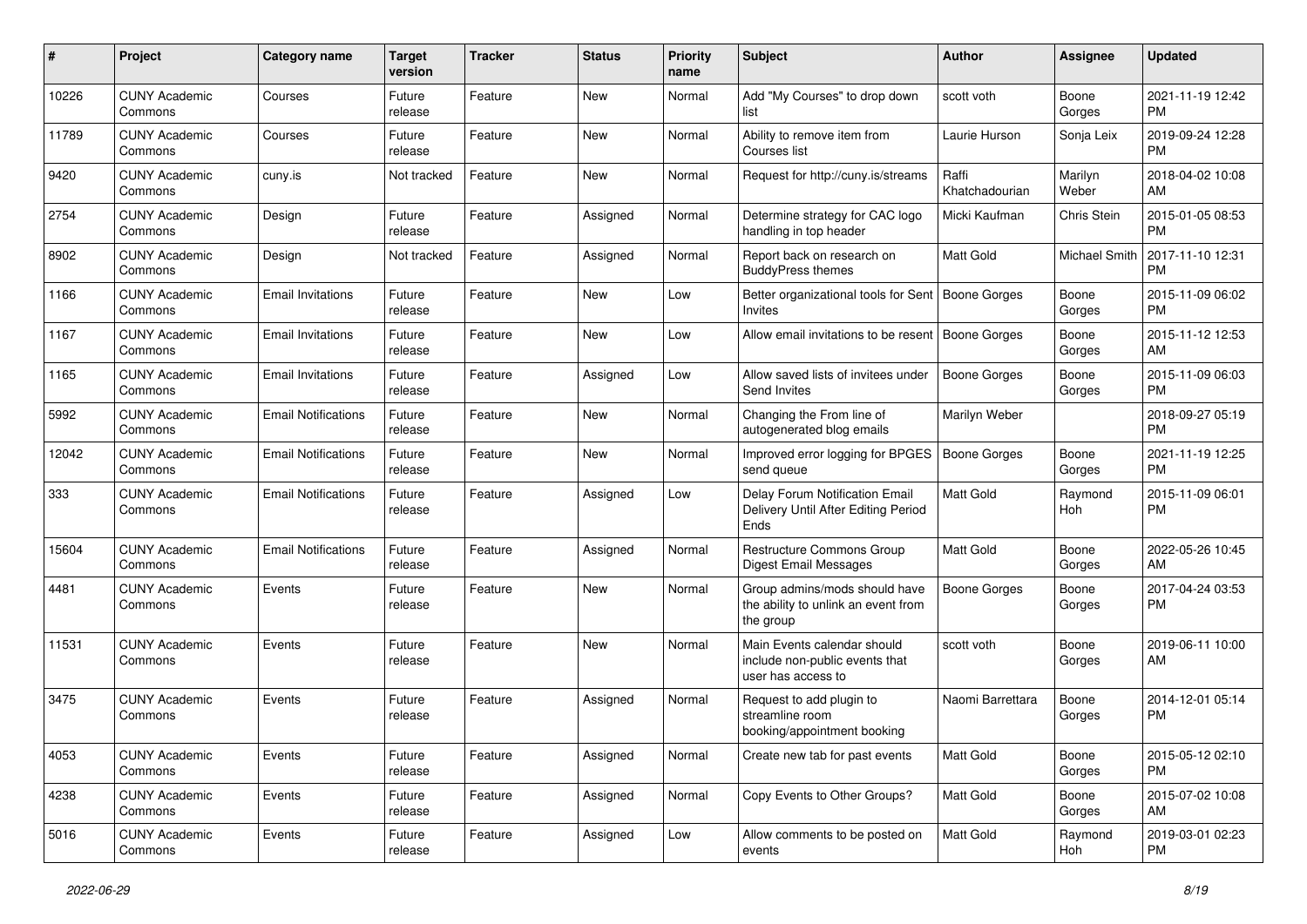| #     | Project                         | <b>Category name</b>       | <b>Target</b><br>version | <b>Tracker</b> | <b>Status</b> | Priority<br>name | <b>Subject</b>                                                                      | Author                  | <b>Assignee</b>      | <b>Updated</b>                |
|-------|---------------------------------|----------------------------|--------------------------|----------------|---------------|------------------|-------------------------------------------------------------------------------------|-------------------------|----------------------|-------------------------------|
| 10226 | <b>CUNY Academic</b><br>Commons | Courses                    | Future<br>release        | Feature        | <b>New</b>    | Normal           | Add "My Courses" to drop down<br>list                                               | scott voth              | Boone<br>Gorges      | 2021-11-19 12:42<br>PM.       |
| 11789 | <b>CUNY Academic</b><br>Commons | Courses                    | Future<br>release        | Feature        | New           | Normal           | Ability to remove item from<br>Courses list                                         | Laurie Hurson           | Sonja Leix           | 2019-09-24 12:28<br><b>PM</b> |
| 9420  | <b>CUNY Academic</b><br>Commons | cuny.is                    | Not tracked              | Feature        | <b>New</b>    | Normal           | Request for http://cuny.is/streams                                                  | Raffi<br>Khatchadourian | Marilyn<br>Weber     | 2018-04-02 10:08<br>AM        |
| 2754  | <b>CUNY Academic</b><br>Commons | Design                     | Future<br>release        | Feature        | Assigned      | Normal           | Determine strategy for CAC logo<br>handling in top header                           | Micki Kaufman           | Chris Stein          | 2015-01-05 08:53<br><b>PM</b> |
| 8902  | <b>CUNY Academic</b><br>Commons | Design                     | Not tracked              | Feature        | Assigned      | Normal           | Report back on research on<br><b>BuddyPress themes</b>                              | <b>Matt Gold</b>        | <b>Michael Smith</b> | 2017-11-10 12:31<br><b>PM</b> |
| 1166  | <b>CUNY Academic</b><br>Commons | <b>Email Invitations</b>   | Future<br>release        | Feature        | New           | Low              | Better organizational tools for Sent<br>Invites                                     | Boone Gorges            | Boone<br>Gorges      | 2015-11-09 06:02<br><b>PM</b> |
| 1167  | <b>CUNY Academic</b><br>Commons | <b>Email Invitations</b>   | Future<br>release        | Feature        | New           | Low              | Allow email invitations to be resent                                                | Boone Gorges            | Boone<br>Gorges      | 2015-11-12 12:53<br>AM.       |
| 1165  | <b>CUNY Academic</b><br>Commons | <b>Email Invitations</b>   | Future<br>release        | Feature        | Assigned      | Low              | Allow saved lists of invitees under<br>Send Invites                                 | <b>Boone Gorges</b>     | Boone<br>Gorges      | 2015-11-09 06:03<br>PM.       |
| 5992  | <b>CUNY Academic</b><br>Commons | <b>Email Notifications</b> | Future<br>release        | Feature        | New           | Normal           | Changing the From line of<br>autogenerated blog emails                              | Marilyn Weber           |                      | 2018-09-27 05:19<br><b>PM</b> |
| 12042 | <b>CUNY Academic</b><br>Commons | <b>Email Notifications</b> | Future<br>release        | Feature        | <b>New</b>    | Normal           | Improved error logging for BPGES<br>send queue                                      | <b>Boone Gorges</b>     | Boone<br>Gorges      | 2021-11-19 12:25<br>PM.       |
| 333   | <b>CUNY Academic</b><br>Commons | <b>Email Notifications</b> | Future<br>release        | Feature        | Assigned      | Low              | Delay Forum Notification Email<br>Delivery Until After Editing Period<br>Ends       | <b>Matt Gold</b>        | Raymond<br>Hoh       | 2015-11-09 06:01<br><b>PM</b> |
| 15604 | <b>CUNY Academic</b><br>Commons | <b>Email Notifications</b> | Future<br>release        | Feature        | Assigned      | Normal           | Restructure Commons Group<br><b>Digest Email Messages</b>                           | <b>Matt Gold</b>        | Boone<br>Gorges      | 2022-05-26 10:45<br>AM        |
| 4481  | <b>CUNY Academic</b><br>Commons | Events                     | Future<br>release        | Feature        | <b>New</b>    | Normal           | Group admins/mods should have<br>the ability to unlink an event from<br>the group   | Boone Gorges            | Boone<br>Gorges      | 2017-04-24 03:53<br><b>PM</b> |
| 11531 | <b>CUNY Academic</b><br>Commons | Events                     | Future<br>release        | Feature        | <b>New</b>    | Normal           | Main Events calendar should<br>include non-public events that<br>user has access to | scott voth              | Boone<br>Gorges      | 2019-06-11 10:00<br>AM        |
| 3475  | <b>CUNY Academic</b><br>Commons | Events                     | Future<br>release        | Feature        | Assigned      | Normal           | Request to add plugin to<br>streamline room<br>booking/appointment booking          | Naomi Barrettara        | Boone<br>Gorges      | 2014-12-01 05:14<br><b>PM</b> |
| 4053  | <b>CUNY Academic</b><br>Commons | Events                     | Future<br>release        | Feature        | Assigned      | Normal           | Create new tab for past events                                                      | Matt Gold               | Boone<br>Gorges      | 2015-05-12 02:10<br>PM.       |
| 4238  | <b>CUNY Academic</b><br>Commons | Events                     | Future<br>release        | Feature        | Assigned      | Normal           | Copy Events to Other Groups?                                                        | Matt Gold               | Boone<br>Gorges      | 2015-07-02 10:08<br>AM        |
| 5016  | <b>CUNY Academic</b><br>Commons | Events                     | Future<br>release        | Feature        | Assigned      | Low              | Allow comments to be posted on<br>events                                            | Matt Gold               | Raymond<br>Hoh       | 2019-03-01 02:23<br><b>PM</b> |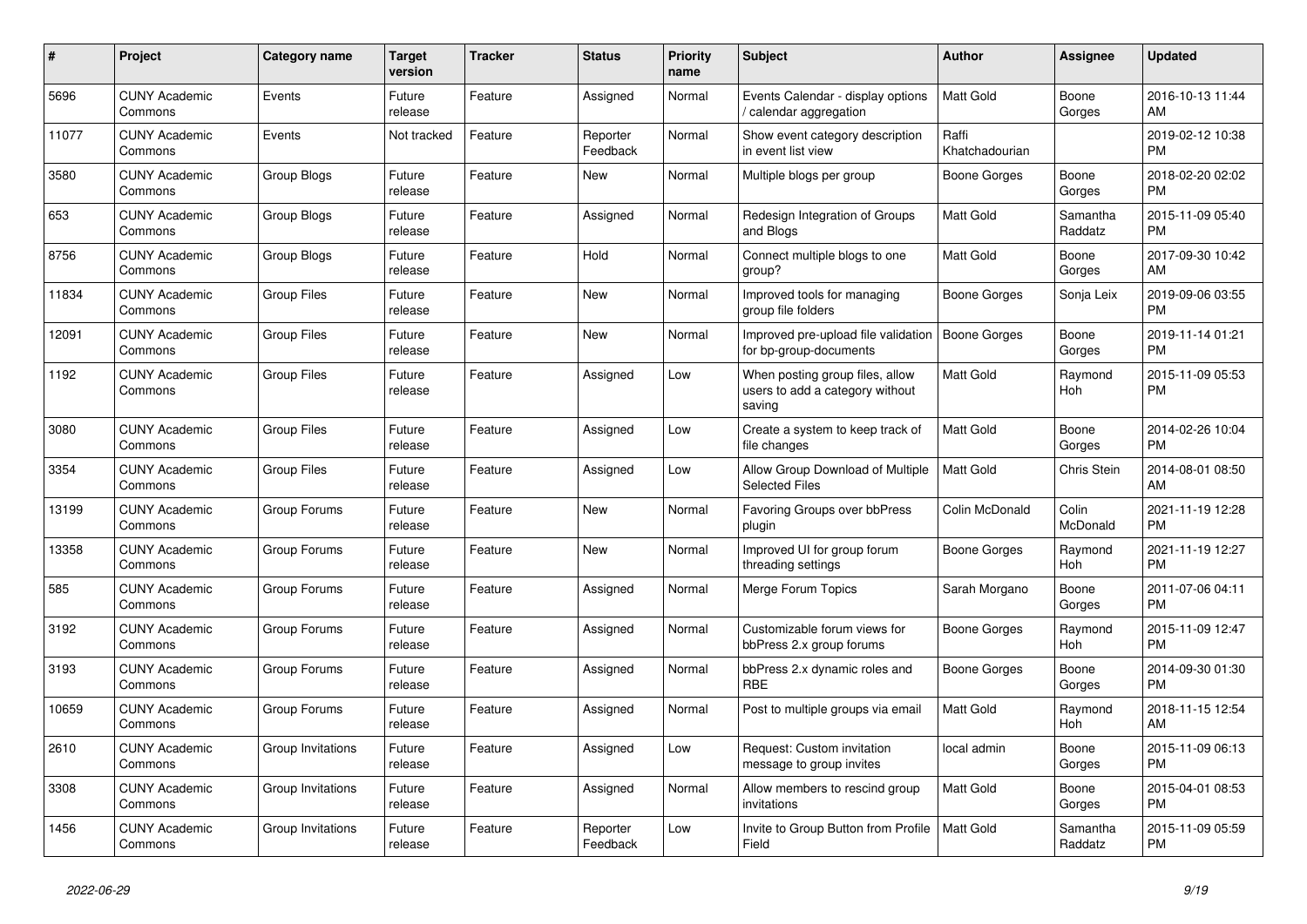| $\#$  | Project                         | <b>Category name</b> | Target<br>version | <b>Tracker</b> | <b>Status</b>        | Priority<br>name | <b>Subject</b>                                                               | <b>Author</b>           | <b>Assignee</b>     | <b>Updated</b>                |
|-------|---------------------------------|----------------------|-------------------|----------------|----------------------|------------------|------------------------------------------------------------------------------|-------------------------|---------------------|-------------------------------|
| 5696  | <b>CUNY Academic</b><br>Commons | Events               | Future<br>release | Feature        | Assigned             | Normal           | Events Calendar - display options<br>calendar aggregation                    | <b>Matt Gold</b>        | Boone<br>Gorges     | 2016-10-13 11:44<br>AM        |
| 11077 | <b>CUNY Academic</b><br>Commons | Events               | Not tracked       | Feature        | Reporter<br>Feedback | Normal           | Show event category description<br>in event list view                        | Raffi<br>Khatchadourian |                     | 2019-02-12 10:38<br><b>PM</b> |
| 3580  | <b>CUNY Academic</b><br>Commons | Group Blogs          | Future<br>release | Feature        | <b>New</b>           | Normal           | Multiple blogs per group                                                     | Boone Gorges            | Boone<br>Gorges     | 2018-02-20 02:02<br><b>PM</b> |
| 653   | <b>CUNY Academic</b><br>Commons | <b>Group Blogs</b>   | Future<br>release | Feature        | Assigned             | Normal           | Redesign Integration of Groups<br>and Blogs                                  | Matt Gold               | Samantha<br>Raddatz | 2015-11-09 05:40<br><b>PM</b> |
| 8756  | <b>CUNY Academic</b><br>Commons | Group Blogs          | Future<br>release | Feature        | Hold                 | Normal           | Connect multiple blogs to one<br>group?                                      | Matt Gold               | Boone<br>Gorges     | 2017-09-30 10:42<br>AM        |
| 11834 | <b>CUNY Academic</b><br>Commons | <b>Group Files</b>   | Future<br>release | Feature        | New                  | Normal           | Improved tools for managing<br>group file folders                            | Boone Gorges            | Sonja Leix          | 2019-09-06 03:55<br><b>PM</b> |
| 12091 | <b>CUNY Academic</b><br>Commons | <b>Group Files</b>   | Future<br>release | Feature        | <b>New</b>           | Normal           | Improved pre-upload file validation<br>for bp-group-documents                | <b>Boone Gorges</b>     | Boone<br>Gorges     | 2019-11-14 01:21<br><b>PM</b> |
| 1192  | <b>CUNY Academic</b><br>Commons | <b>Group Files</b>   | Future<br>release | Feature        | Assigned             | Low              | When posting group files, allow<br>users to add a category without<br>saving | <b>Matt Gold</b>        | Raymond<br>Hoh      | 2015-11-09 05:53<br><b>PM</b> |
| 3080  | <b>CUNY Academic</b><br>Commons | <b>Group Files</b>   | Future<br>release | Feature        | Assigned             | Low              | Create a system to keep track of<br>file changes                             | <b>Matt Gold</b>        | Boone<br>Gorges     | 2014-02-26 10:04<br><b>PM</b> |
| 3354  | <b>CUNY Academic</b><br>Commons | <b>Group Files</b>   | Future<br>release | Feature        | Assigned             | Low              | Allow Group Download of Multiple<br><b>Selected Files</b>                    | <b>Matt Gold</b>        | <b>Chris Stein</b>  | 2014-08-01 08:50<br>AM        |
| 13199 | <b>CUNY Academic</b><br>Commons | Group Forums         | Future<br>release | Feature        | New                  | Normal           | Favoring Groups over bbPress<br>plugin                                       | Colin McDonald          | Colin<br>McDonald   | 2021-11-19 12:28<br><b>PM</b> |
| 13358 | <b>CUNY Academic</b><br>Commons | Group Forums         | Future<br>release | Feature        | <b>New</b>           | Normal           | Improved UI for group forum<br>threading settings                            | Boone Gorges            | Raymond<br>Hoh      | 2021-11-19 12:27<br><b>PM</b> |
| 585   | <b>CUNY Academic</b><br>Commons | Group Forums         | Future<br>release | Feature        | Assigned             | Normal           | Merge Forum Topics                                                           | Sarah Morgano           | Boone<br>Gorges     | 2011-07-06 04:11<br><b>PM</b> |
| 3192  | <b>CUNY Academic</b><br>Commons | Group Forums         | Future<br>release | Feature        | Assigned             | Normal           | Customizable forum views for<br>bbPress 2.x group forums                     | Boone Gorges            | Raymond<br>Hoh      | 2015-11-09 12:47<br><b>PM</b> |
| 3193  | <b>CUNY Academic</b><br>Commons | Group Forums         | Future<br>release | Feature        | Assigned             | Normal           | bbPress 2.x dynamic roles and<br><b>RBE</b>                                  | Boone Gorges            | Boone<br>Gorges     | 2014-09-30 01:30<br><b>PM</b> |
| 10659 | <b>CUNY Academic</b><br>Commons | Group Forums         | Future<br>release | Feature        | Assigned             | Normal           | Post to multiple groups via email                                            | <b>Matt Gold</b>        | Raymond<br>Hoh      | 2018-11-15 12:54<br>AM        |
| 2610  | <b>CUNY Academic</b><br>Commons | Group Invitations    | Future<br>release | Feature        | Assigned             | Low              | Request: Custom invitation<br>message to group invites                       | local admin             | Boone<br>Gorges     | 2015-11-09 06:13<br><b>PM</b> |
| 3308  | <b>CUNY Academic</b><br>Commons | Group Invitations    | Future<br>release | Feature        | Assigned             | Normal           | Allow members to rescind group<br>invitations                                | <b>Matt Gold</b>        | Boone<br>Gorges     | 2015-04-01 08:53<br><b>PM</b> |
| 1456  | <b>CUNY Academic</b><br>Commons | Group Invitations    | Future<br>release | Feature        | Reporter<br>Feedback | Low              | Invite to Group Button from Profile<br>Field                                 | <b>Matt Gold</b>        | Samantha<br>Raddatz | 2015-11-09 05:59<br><b>PM</b> |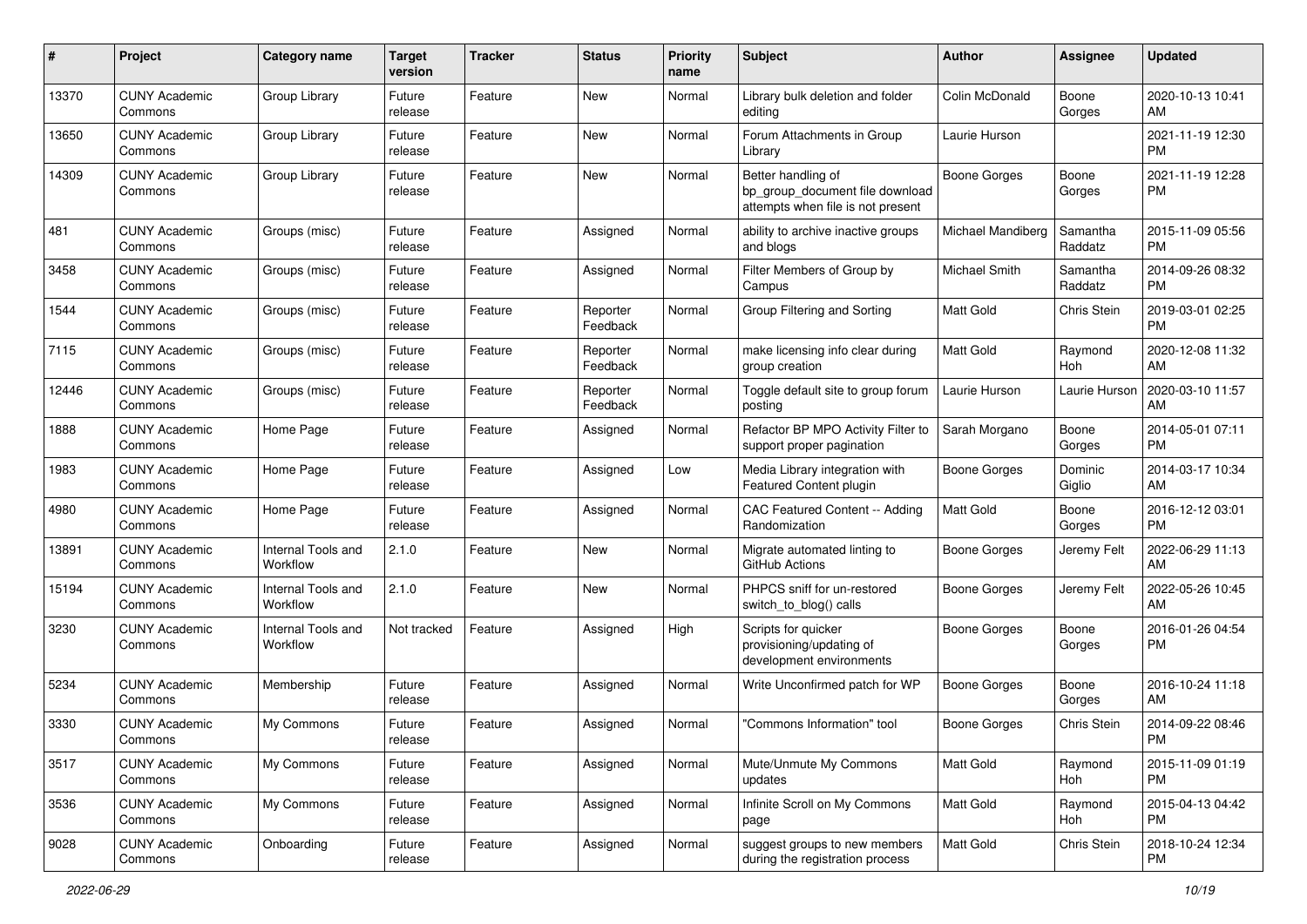| #     | Project                         | <b>Category name</b>           | <b>Target</b><br>version | <b>Tracker</b> | <b>Status</b>        | <b>Priority</b><br>name | <b>Subject</b>                                                                             | Author                   | Assignee            | <b>Updated</b>                |
|-------|---------------------------------|--------------------------------|--------------------------|----------------|----------------------|-------------------------|--------------------------------------------------------------------------------------------|--------------------------|---------------------|-------------------------------|
| 13370 | <b>CUNY Academic</b><br>Commons | Group Library                  | Future<br>release        | Feature        | <b>New</b>           | Normal                  | Library bulk deletion and folder<br>editing                                                | Colin McDonald           | Boone<br>Gorges     | 2020-10-13 10:41<br>AM        |
| 13650 | <b>CUNY Academic</b><br>Commons | Group Library                  | Future<br>release        | Feature        | New                  | Normal                  | Forum Attachments in Group<br>Library                                                      | Laurie Hurson            |                     | 2021-11-19 12:30<br><b>PM</b> |
| 14309 | CUNY Academic<br>Commons        | Group Library                  | Future<br>release        | Feature        | New                  | Normal                  | Better handling of<br>bp_group_document file download<br>attempts when file is not present | Boone Gorges             | Boone<br>Gorges     | 2021-11-19 12:28<br><b>PM</b> |
| 481   | <b>CUNY Academic</b><br>Commons | Groups (misc)                  | Future<br>release        | Feature        | Assigned             | Normal                  | ability to archive inactive groups<br>and blogs                                            | <b>Michael Mandiberg</b> | Samantha<br>Raddatz | 2015-11-09 05:56<br><b>PM</b> |
| 3458  | <b>CUNY Academic</b><br>Commons | Groups (misc)                  | Future<br>release        | Feature        | Assigned             | Normal                  | Filter Members of Group by<br>Campus                                                       | Michael Smith            | Samantha<br>Raddatz | 2014-09-26 08:32<br><b>PM</b> |
| 1544  | CUNY Academic<br>Commons        | Groups (misc)                  | Future<br>release        | Feature        | Reporter<br>Feedback | Normal                  | Group Filtering and Sorting                                                                | <b>Matt Gold</b>         | <b>Chris Stein</b>  | 2019-03-01 02:25<br><b>PM</b> |
| 7115  | <b>CUNY Academic</b><br>Commons | Groups (misc)                  | Future<br>release        | Feature        | Reporter<br>Feedback | Normal                  | make licensing info clear during<br>group creation                                         | <b>Matt Gold</b>         | Raymond<br>Hoh      | 2020-12-08 11:32<br>AM        |
| 12446 | <b>CUNY Academic</b><br>Commons | Groups (misc)                  | Future<br>release        | Feature        | Reporter<br>Feedback | Normal                  | Toggle default site to group forum<br>posting                                              | Laurie Hurson            | Laurie Hurson       | 2020-03-10 11:57<br>AM        |
| 1888  | <b>CUNY Academic</b><br>Commons | Home Page                      | Future<br>release        | Feature        | Assigned             | Normal                  | Refactor BP MPO Activity Filter to<br>support proper pagination                            | Sarah Morgano            | Boone<br>Gorges     | 2014-05-01 07:11<br>PM        |
| 1983  | <b>CUNY Academic</b><br>Commons | Home Page                      | Future<br>release        | Feature        | Assigned             | Low                     | Media Library integration with<br>Featured Content plugin                                  | <b>Boone Gorges</b>      | Dominic<br>Giglio   | 2014-03-17 10:34<br>AM        |
| 4980  | CUNY Academic<br>Commons        | Home Page                      | Future<br>release        | Feature        | Assigned             | Normal                  | CAC Featured Content -- Adding<br>Randomization                                            | Matt Gold                | Boone<br>Gorges     | 2016-12-12 03:01<br><b>PM</b> |
| 13891 | <b>CUNY Academic</b><br>Commons | Internal Tools and<br>Workflow | 2.1.0                    | Feature        | New                  | Normal                  | Migrate automated linting to<br>GitHub Actions                                             | Boone Gorges             | Jeremy Felt         | 2022-06-29 11:13<br>AM        |
| 15194 | <b>CUNY Academic</b><br>Commons | Internal Tools and<br>Workflow | 2.1.0                    | Feature        | New                  | Normal                  | PHPCS sniff for un-restored<br>switch_to_blog() calls                                      | Boone Gorges             | Jeremy Felt         | 2022-05-26 10:45<br>AM        |
| 3230  | <b>CUNY Academic</b><br>Commons | Internal Tools and<br>Workflow | Not tracked              | Feature        | Assigned             | High                    | Scripts for quicker<br>provisioning/updating of<br>development environments                | Boone Gorges             | Boone<br>Gorges     | 2016-01-26 04:54<br><b>PM</b> |
| 5234  | <b>CUNY Academic</b><br>Commons | Membership                     | Future<br>release        | Feature        | Assigned             | Normal                  | Write Unconfirmed patch for WP                                                             | Boone Gorges             | Boone<br>Gorges     | 2016-10-24 11:18<br>AM        |
| 3330  | <b>CUNY Academic</b><br>Commons | My Commons                     | Future<br>release        | Feature        | Assigned             | Normal                  | 'Commons Information" tool                                                                 | Boone Gorges             | Chris Stein         | 2014-09-22 08:46<br>PM        |
| 3517  | <b>CUNY Academic</b><br>Commons | My Commons                     | Future<br>release        | Feature        | Assigned             | Normal                  | Mute/Unmute My Commons<br>updates                                                          | Matt Gold                | Raymond<br>Hoh      | 2015-11-09 01:19<br><b>PM</b> |
| 3536  | <b>CUNY Academic</b><br>Commons | My Commons                     | Future<br>release        | Feature        | Assigned             | Normal                  | Infinite Scroll on My Commons<br>page                                                      | <b>Matt Gold</b>         | Raymond<br>Hoh      | 2015-04-13 04:42<br><b>PM</b> |
| 9028  | <b>CUNY Academic</b><br>Commons | Onboarding                     | Future<br>release        | Feature        | Assigned             | Normal                  | suggest groups to new members<br>during the registration process                           | Matt Gold                | Chris Stein         | 2018-10-24 12:34<br>PM        |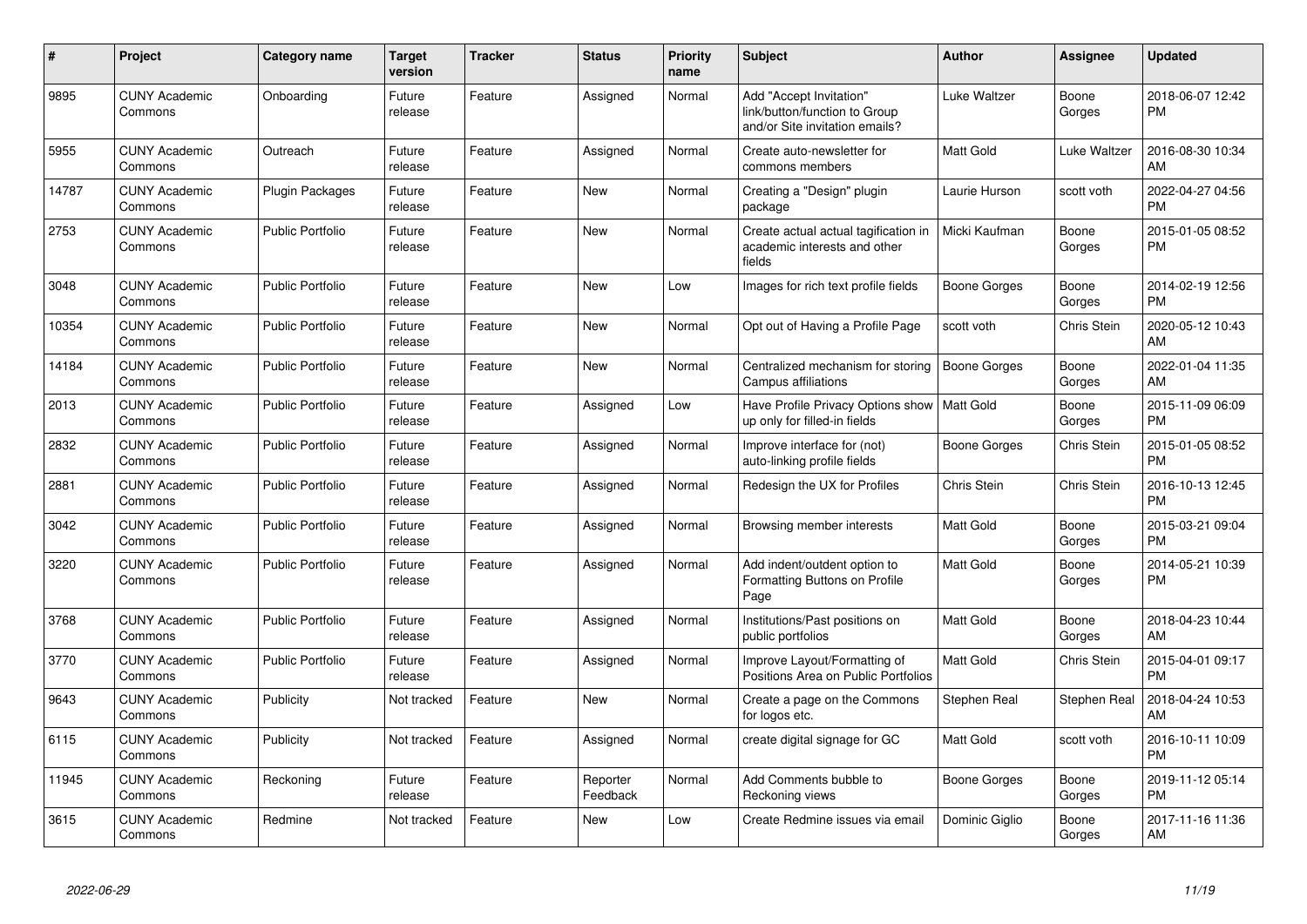| #     | <b>Project</b>                  | <b>Category name</b>    | <b>Target</b><br>version | <b>Tracker</b> | <b>Status</b>        | <b>Priority</b><br>name | <b>Subject</b>                                                                             | <b>Author</b>       | <b>Assignee</b> | <b>Updated</b>                |
|-------|---------------------------------|-------------------------|--------------------------|----------------|----------------------|-------------------------|--------------------------------------------------------------------------------------------|---------------------|-----------------|-------------------------------|
| 9895  | <b>CUNY Academic</b><br>Commons | Onboarding              | Future<br>release        | Feature        | Assigned             | Normal                  | Add "Accept Invitation"<br>link/button/function to Group<br>and/or Site invitation emails? | Luke Waltzer        | Boone<br>Gorges | 2018-06-07 12:42<br><b>PM</b> |
| 5955  | <b>CUNY Academic</b><br>Commons | Outreach                | Future<br>release        | Feature        | Assigned             | Normal                  | Create auto-newsletter for<br>commons members                                              | <b>Matt Gold</b>    | Luke Waltzer    | 2016-08-30 10:34<br>AM        |
| 14787 | <b>CUNY Academic</b><br>Commons | <b>Plugin Packages</b>  | Future<br>release        | Feature        | <b>New</b>           | Normal                  | Creating a "Design" plugin<br>package                                                      | Laurie Hurson       | scott voth      | 2022-04-27 04:56<br><b>PM</b> |
| 2753  | <b>CUNY Academic</b><br>Commons | <b>Public Portfolio</b> | Future<br>release        | Feature        | New                  | Normal                  | Create actual actual tagification in<br>academic interests and other<br>fields             | Micki Kaufman       | Boone<br>Gorges | 2015-01-05 08:52<br><b>PM</b> |
| 3048  | <b>CUNY Academic</b><br>Commons | <b>Public Portfolio</b> | Future<br>release        | Feature        | <b>New</b>           | Low                     | Images for rich text profile fields                                                        | Boone Gorges        | Boone<br>Gorges | 2014-02-19 12:56<br><b>PM</b> |
| 10354 | <b>CUNY Academic</b><br>Commons | <b>Public Portfolio</b> | Future<br>release        | Feature        | <b>New</b>           | Normal                  | Opt out of Having a Profile Page                                                           | scott voth          | Chris Stein     | 2020-05-12 10:43<br>AM        |
| 14184 | <b>CUNY Academic</b><br>Commons | <b>Public Portfolio</b> | Future<br>release        | Feature        | <b>New</b>           | Normal                  | Centralized mechanism for storing<br>Campus affiliations                                   | <b>Boone Gorges</b> | Boone<br>Gorges | 2022-01-04 11:35<br>AM        |
| 2013  | <b>CUNY Academic</b><br>Commons | <b>Public Portfolio</b> | Future<br>release        | Feature        | Assigned             | Low                     | Have Profile Privacy Options show   Matt Gold<br>up only for filled-in fields              |                     | Boone<br>Gorges | 2015-11-09 06:09<br><b>PM</b> |
| 2832  | <b>CUNY Academic</b><br>Commons | <b>Public Portfolio</b> | Future<br>release        | Feature        | Assigned             | Normal                  | Improve interface for (not)<br>auto-linking profile fields                                 | Boone Gorges        | Chris Stein     | 2015-01-05 08:52<br><b>PM</b> |
| 2881  | <b>CUNY Academic</b><br>Commons | <b>Public Portfolio</b> | Future<br>release        | Feature        | Assigned             | Normal                  | Redesign the UX for Profiles                                                               | Chris Stein         | Chris Stein     | 2016-10-13 12:45<br><b>PM</b> |
| 3042  | <b>CUNY Academic</b><br>Commons | <b>Public Portfolio</b> | Future<br>release        | Feature        | Assigned             | Normal                  | Browsing member interests                                                                  | <b>Matt Gold</b>    | Boone<br>Gorges | 2015-03-21 09:04<br><b>PM</b> |
| 3220  | <b>CUNY Academic</b><br>Commons | <b>Public Portfolio</b> | Future<br>release        | Feature        | Assigned             | Normal                  | Add indent/outdent option to<br>Formatting Buttons on Profile<br>Page                      | <b>Matt Gold</b>    | Boone<br>Gorges | 2014-05-21 10:39<br><b>PM</b> |
| 3768  | <b>CUNY Academic</b><br>Commons | <b>Public Portfolio</b> | Future<br>release        | Feature        | Assigned             | Normal                  | Institutions/Past positions on<br>public portfolios                                        | Matt Gold           | Boone<br>Gorges | 2018-04-23 10:44<br>AM        |
| 3770  | <b>CUNY Academic</b><br>Commons | <b>Public Portfolio</b> | Future<br>release        | Feature        | Assigned             | Normal                  | Improve Layout/Formatting of<br>Positions Area on Public Portfolios                        | Matt Gold           | Chris Stein     | 2015-04-01 09:17<br><b>PM</b> |
| 9643  | <b>CUNY Academic</b><br>Commons | Publicity               | Not tracked              | Feature        | New                  | Normal                  | Create a page on the Commons<br>for logos etc.                                             | Stephen Real        | Stephen Real    | 2018-04-24 10:53<br>AM        |
| 6115  | <b>CUNY Academic</b><br>Commons | Publicity               | Not tracked              | Feature        | Assigned             | Normal                  | create digital signage for GC                                                              | <b>Matt Gold</b>    | scott voth      | 2016-10-11 10:09<br><b>PM</b> |
| 11945 | <b>CUNY Academic</b><br>Commons | Reckoning               | Future<br>release        | Feature        | Reporter<br>Feedback | Normal                  | Add Comments bubble to<br>Reckoning views                                                  | Boone Gorges        | Boone<br>Gorges | 2019-11-12 05:14<br><b>PM</b> |
| 3615  | <b>CUNY Academic</b><br>Commons | Redmine                 | Not tracked              | Feature        | <b>New</b>           | Low                     | Create Redmine issues via email                                                            | Dominic Giglio      | Boone<br>Gorges | 2017-11-16 11:36<br>AM        |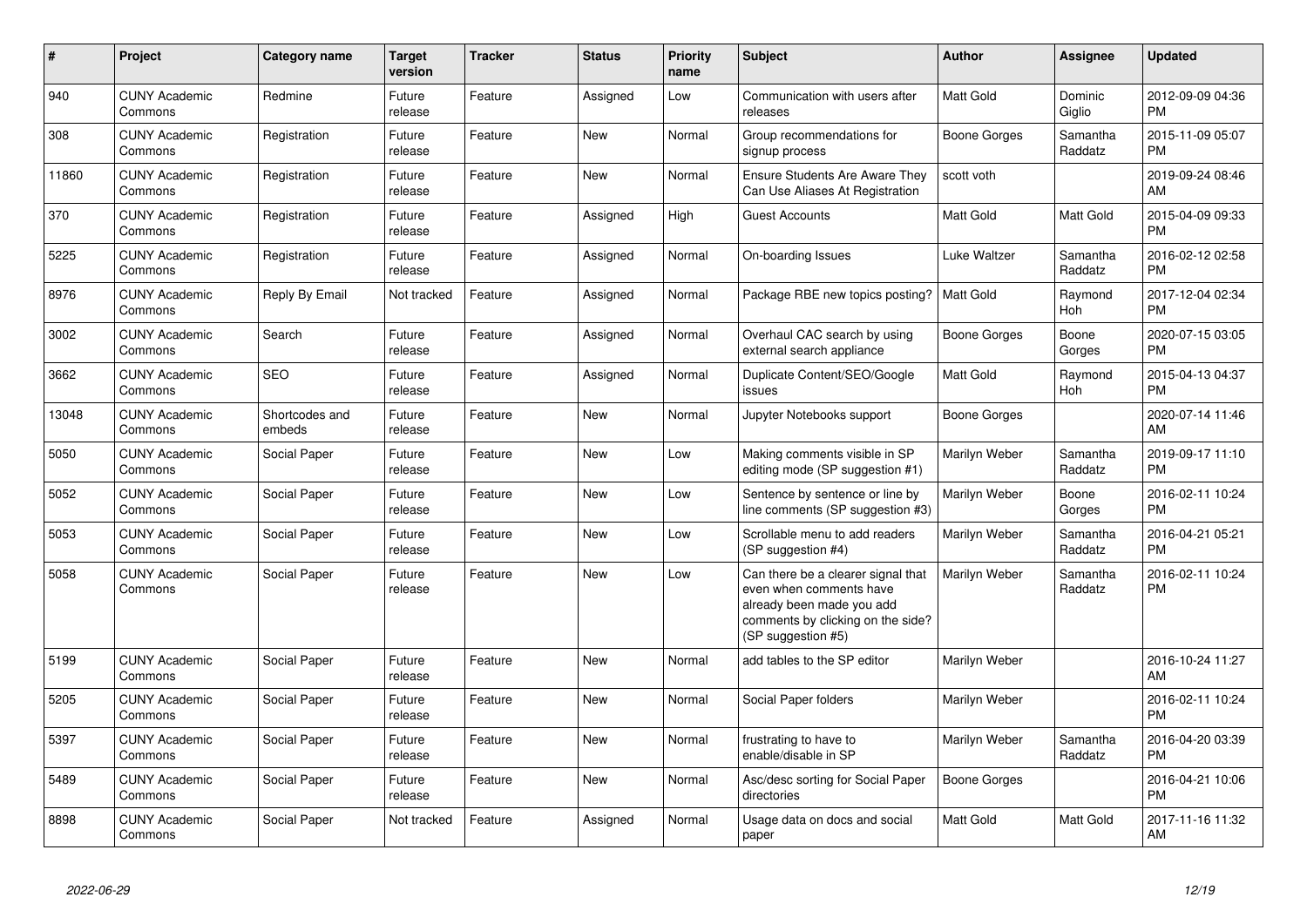| #     | Project                         | <b>Category name</b>     | <b>Target</b><br>version | <b>Tracker</b> | <b>Status</b> | <b>Priority</b><br>name | <b>Subject</b>                                                                                                                                        | <b>Author</b>    | Assignee            | <b>Updated</b>                |
|-------|---------------------------------|--------------------------|--------------------------|----------------|---------------|-------------------------|-------------------------------------------------------------------------------------------------------------------------------------------------------|------------------|---------------------|-------------------------------|
| 940   | <b>CUNY Academic</b><br>Commons | Redmine                  | Future<br>release        | Feature        | Assigned      | Low                     | Communication with users after<br>releases                                                                                                            | <b>Matt Gold</b> | Dominic<br>Giglio   | 2012-09-09 04:36<br><b>PM</b> |
| 308   | <b>CUNY Academic</b><br>Commons | Registration             | Future<br>release        | Feature        | <b>New</b>    | Normal                  | Group recommendations for<br>signup process                                                                                                           | Boone Gorges     | Samantha<br>Raddatz | 2015-11-09 05:07<br><b>PM</b> |
| 11860 | <b>CUNY Academic</b><br>Commons | Registration             | Future<br>release        | Feature        | <b>New</b>    | Normal                  | <b>Ensure Students Are Aware They</b><br>Can Use Aliases At Registration                                                                              | scott voth       |                     | 2019-09-24 08:46<br>AM        |
| 370   | <b>CUNY Academic</b><br>Commons | Registration             | Future<br>release        | Feature        | Assigned      | High                    | <b>Guest Accounts</b>                                                                                                                                 | Matt Gold        | Matt Gold           | 2015-04-09 09:33<br><b>PM</b> |
| 5225  | <b>CUNY Academic</b><br>Commons | Registration             | Future<br>release        | Feature        | Assigned      | Normal                  | On-boarding Issues                                                                                                                                    | Luke Waltzer     | Samantha<br>Raddatz | 2016-02-12 02:58<br><b>PM</b> |
| 8976  | <b>CUNY Academic</b><br>Commons | Reply By Email           | Not tracked              | Feature        | Assigned      | Normal                  | Package RBE new topics posting?                                                                                                                       | <b>Matt Gold</b> | Raymond<br>Hoh      | 2017-12-04 02:34<br><b>PM</b> |
| 3002  | <b>CUNY Academic</b><br>Commons | Search                   | Future<br>release        | Feature        | Assigned      | Normal                  | Overhaul CAC search by using<br>external search appliance                                                                                             | Boone Gorges     | Boone<br>Gorges     | 2020-07-15 03:05<br><b>PM</b> |
| 3662  | <b>CUNY Academic</b><br>Commons | <b>SEO</b>               | Future<br>release        | Feature        | Assigned      | Normal                  | Duplicate Content/SEO/Google<br>issues                                                                                                                | <b>Matt Gold</b> | Raymond<br>Hoh      | 2015-04-13 04:37<br><b>PM</b> |
| 13048 | <b>CUNY Academic</b><br>Commons | Shortcodes and<br>embeds | Future<br>release        | Feature        | New           | Normal                  | Jupyter Notebooks support                                                                                                                             | Boone Gorges     |                     | 2020-07-14 11:46<br>AM        |
| 5050  | <b>CUNY Academic</b><br>Commons | Social Paper             | Future<br>release        | Feature        | <b>New</b>    | Low                     | Making comments visible in SP<br>editing mode (SP suggestion #1)                                                                                      | Marilyn Weber    | Samantha<br>Raddatz | 2019-09-17 11:10<br><b>PM</b> |
| 5052  | <b>CUNY Academic</b><br>Commons | Social Paper             | Future<br>release        | Feature        | New           | Low                     | Sentence by sentence or line by<br>line comments (SP suggestion #3)                                                                                   | Marilyn Weber    | Boone<br>Gorges     | 2016-02-11 10:24<br><b>PM</b> |
| 5053  | <b>CUNY Academic</b><br>Commons | Social Paper             | Future<br>release        | Feature        | <b>New</b>    | Low                     | Scrollable menu to add readers<br>(SP suggestion #4)                                                                                                  | Marilyn Weber    | Samantha<br>Raddatz | 2016-04-21 05:21<br><b>PM</b> |
| 5058  | <b>CUNY Academic</b><br>Commons | Social Paper             | Future<br>release        | Feature        | <b>New</b>    | Low                     | Can there be a clearer signal that<br>even when comments have<br>already been made you add<br>comments by clicking on the side?<br>(SP suggestion #5) | Marilyn Weber    | Samantha<br>Raddatz | 2016-02-11 10:24<br><b>PM</b> |
| 5199  | <b>CUNY Academic</b><br>Commons | Social Paper             | Future<br>release        | Feature        | <b>New</b>    | Normal                  | add tables to the SP editor                                                                                                                           | Marilyn Weber    |                     | 2016-10-24 11:27<br>AM        |
| 5205  | <b>CUNY Academic</b><br>Commons | Social Paper             | Future<br>release        | Feature        | <b>New</b>    | Normal                  | Social Paper folders                                                                                                                                  | Marilyn Weber    |                     | 2016-02-11 10:24<br><b>PM</b> |
| 5397  | <b>CUNY Academic</b><br>Commons | Social Paper             | Future<br>release        | Feature        | <b>New</b>    | Normal                  | frustrating to have to<br>enable/disable in SP                                                                                                        | Marilyn Weber    | Samantha<br>Raddatz | 2016-04-20 03:39<br><b>PM</b> |
| 5489  | <b>CUNY Academic</b><br>Commons | Social Paper             | Future<br>release        | Feature        | New           | Normal                  | Asc/desc sorting for Social Paper<br>directories                                                                                                      | Boone Gorges     |                     | 2016-04-21 10:06<br><b>PM</b> |
| 8898  | <b>CUNY Academic</b><br>Commons | Social Paper             | Not tracked              | Feature        | Assigned      | Normal                  | Usage data on docs and social<br>paper                                                                                                                | Matt Gold        | Matt Gold           | 2017-11-16 11:32<br>AM        |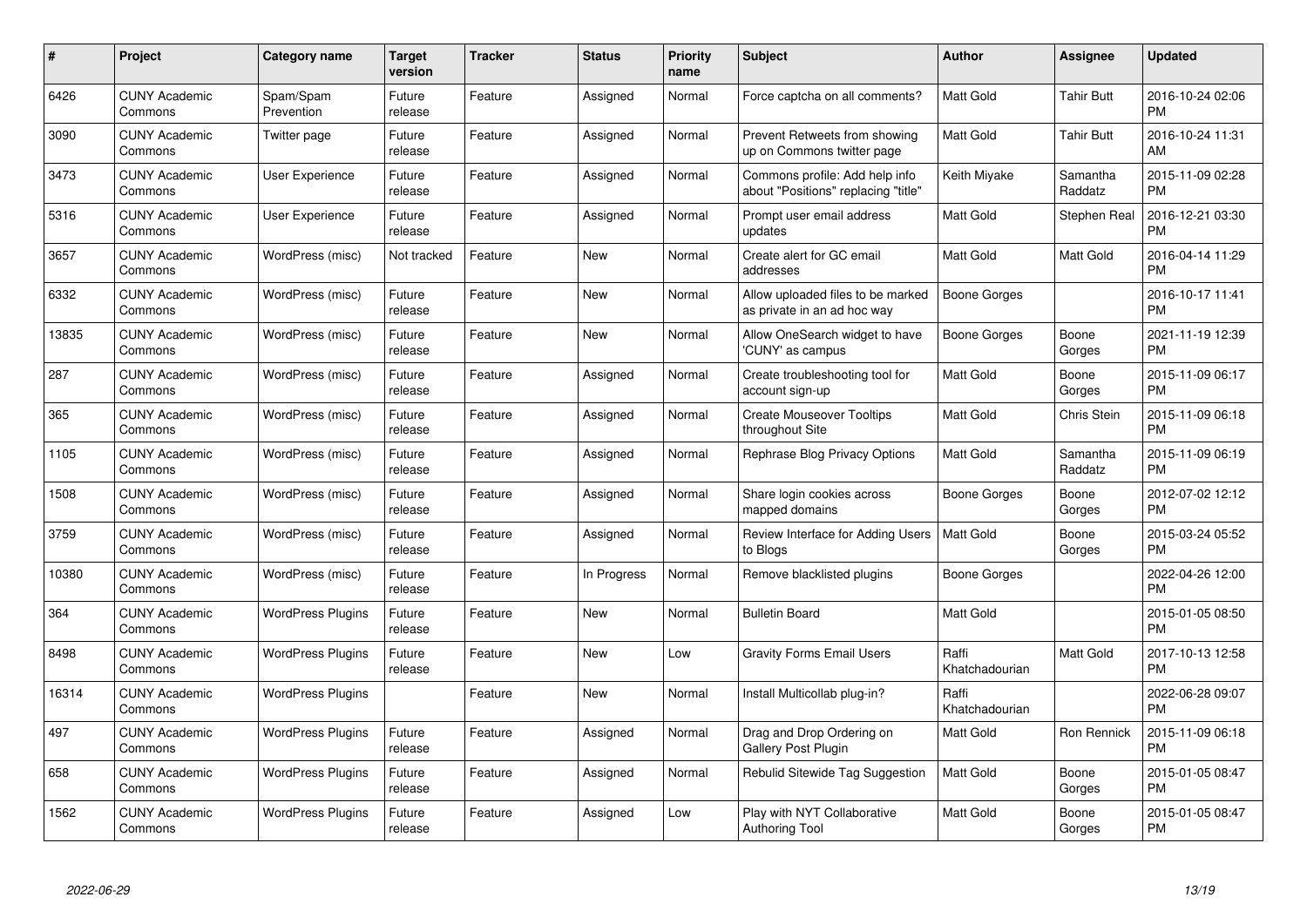| #     | Project                         | <b>Category name</b>     | <b>Target</b><br>version | <b>Tracker</b> | <b>Status</b> | <b>Priority</b><br>name | <b>Subject</b>                                                        | <b>Author</b>           | Assignee            | <b>Updated</b>                |
|-------|---------------------------------|--------------------------|--------------------------|----------------|---------------|-------------------------|-----------------------------------------------------------------------|-------------------------|---------------------|-------------------------------|
| 6426  | <b>CUNY Academic</b><br>Commons | Spam/Spam<br>Prevention  | Future<br>release        | Feature        | Assigned      | Normal                  | Force captcha on all comments?                                        | <b>Matt Gold</b>        | Tahir Butt          | 2016-10-24 02:06<br><b>PM</b> |
| 3090  | <b>CUNY Academic</b><br>Commons | Twitter page             | Future<br>release        | Feature        | Assigned      | Normal                  | Prevent Retweets from showing<br>up on Commons twitter page           | <b>Matt Gold</b>        | <b>Tahir Butt</b>   | 2016-10-24 11:31<br>AM        |
| 3473  | <b>CUNY Academic</b><br>Commons | User Experience          | Future<br>release        | Feature        | Assigned      | Normal                  | Commons profile: Add help info<br>about "Positions" replacing "title" | Keith Miyake            | Samantha<br>Raddatz | 2015-11-09 02:28<br><b>PM</b> |
| 5316  | <b>CUNY Academic</b><br>Commons | User Experience          | Future<br>release        | Feature        | Assigned      | Normal                  | Prompt user email address<br>updates                                  | Matt Gold               | Stephen Real        | 2016-12-21 03:30<br><b>PM</b> |
| 3657  | <b>CUNY Academic</b><br>Commons | WordPress (misc)         | Not tracked              | Feature        | <b>New</b>    | Normal                  | Create alert for GC email<br>addresses                                | <b>Matt Gold</b>        | Matt Gold           | 2016-04-14 11:29<br><b>PM</b> |
| 6332  | <b>CUNY Academic</b><br>Commons | WordPress (misc)         | Future<br>release        | Feature        | <b>New</b>    | Normal                  | Allow uploaded files to be marked<br>as private in an ad hoc way      | Boone Gorges            |                     | 2016-10-17 11:41<br><b>PM</b> |
| 13835 | <b>CUNY Academic</b><br>Commons | WordPress (misc)         | Future<br>release        | Feature        | <b>New</b>    | Normal                  | Allow OneSearch widget to have<br>'CUNY' as campus                    | Boone Gorges            | Boone<br>Gorges     | 2021-11-19 12:39<br><b>PM</b> |
| 287   | <b>CUNY Academic</b><br>Commons | WordPress (misc)         | Future<br>release        | Feature        | Assigned      | Normal                  | Create troubleshooting tool for<br>account sign-up                    | Matt Gold               | Boone<br>Gorges     | 2015-11-09 06:17<br><b>PM</b> |
| 365   | <b>CUNY Academic</b><br>Commons | WordPress (misc)         | Future<br>release        | Feature        | Assigned      | Normal                  | <b>Create Mouseover Tooltips</b><br>throughout Site                   | <b>Matt Gold</b>        | Chris Stein         | 2015-11-09 06:18<br><b>PM</b> |
| 1105  | <b>CUNY Academic</b><br>Commons | WordPress (misc)         | Future<br>release        | Feature        | Assigned      | Normal                  | Rephrase Blog Privacy Options                                         | <b>Matt Gold</b>        | Samantha<br>Raddatz | 2015-11-09 06:19<br><b>PM</b> |
| 1508  | <b>CUNY Academic</b><br>Commons | WordPress (misc)         | Future<br>release        | Feature        | Assigned      | Normal                  | Share login cookies across<br>mapped domains                          | Boone Gorges            | Boone<br>Gorges     | 2012-07-02 12:12<br><b>PM</b> |
| 3759  | <b>CUNY Academic</b><br>Commons | WordPress (misc)         | Future<br>release        | Feature        | Assigned      | Normal                  | Review Interface for Adding Users<br>to Blogs                         | <b>Matt Gold</b>        | Boone<br>Gorges     | 2015-03-24 05:52<br><b>PM</b> |
| 10380 | <b>CUNY Academic</b><br>Commons | WordPress (misc)         | Future<br>release        | Feature        | In Progress   | Normal                  | Remove blacklisted plugins                                            | Boone Gorges            |                     | 2022-04-26 12:00<br><b>PM</b> |
| 364   | <b>CUNY Academic</b><br>Commons | <b>WordPress Plugins</b> | Future<br>release        | Feature        | New           | Normal                  | <b>Bulletin Board</b>                                                 | <b>Matt Gold</b>        |                     | 2015-01-05 08:50<br><b>PM</b> |
| 8498  | <b>CUNY Academic</b><br>Commons | <b>WordPress Plugins</b> | Future<br>release        | Feature        | New           | Low                     | <b>Gravity Forms Email Users</b>                                      | Raffi<br>Khatchadourian | Matt Gold           | 2017-10-13 12:58<br><b>PM</b> |
| 16314 | <b>CUNY Academic</b><br>Commons | <b>WordPress Plugins</b> |                          | Feature        | New           | Normal                  | Install Multicollab plug-in?                                          | Raffi<br>Khatchadourian |                     | 2022-06-28 09:07<br><b>PM</b> |
| 497   | <b>CUNY Academic</b><br>Commons | <b>WordPress Plugins</b> | Future<br>release        | Feature        | Assigned      | Normal                  | Drag and Drop Ordering on<br>Gallery Post Plugin                      | Matt Gold               | Ron Rennick         | 2015-11-09 06:18<br><b>PM</b> |
| 658   | <b>CUNY Academic</b><br>Commons | <b>WordPress Plugins</b> | Future<br>release        | Feature        | Assigned      | Normal                  | Rebulid Sitewide Tag Suggestion                                       | Matt Gold               | Boone<br>Gorges     | 2015-01-05 08:47<br><b>PM</b> |
| 1562  | <b>CUNY Academic</b><br>Commons | <b>WordPress Plugins</b> | Future<br>release        | Feature        | Assigned      | Low                     | Play with NYT Collaborative<br>Authoring Tool                         | <b>Matt Gold</b>        | Boone<br>Gorges     | 2015-01-05 08:47<br><b>PM</b> |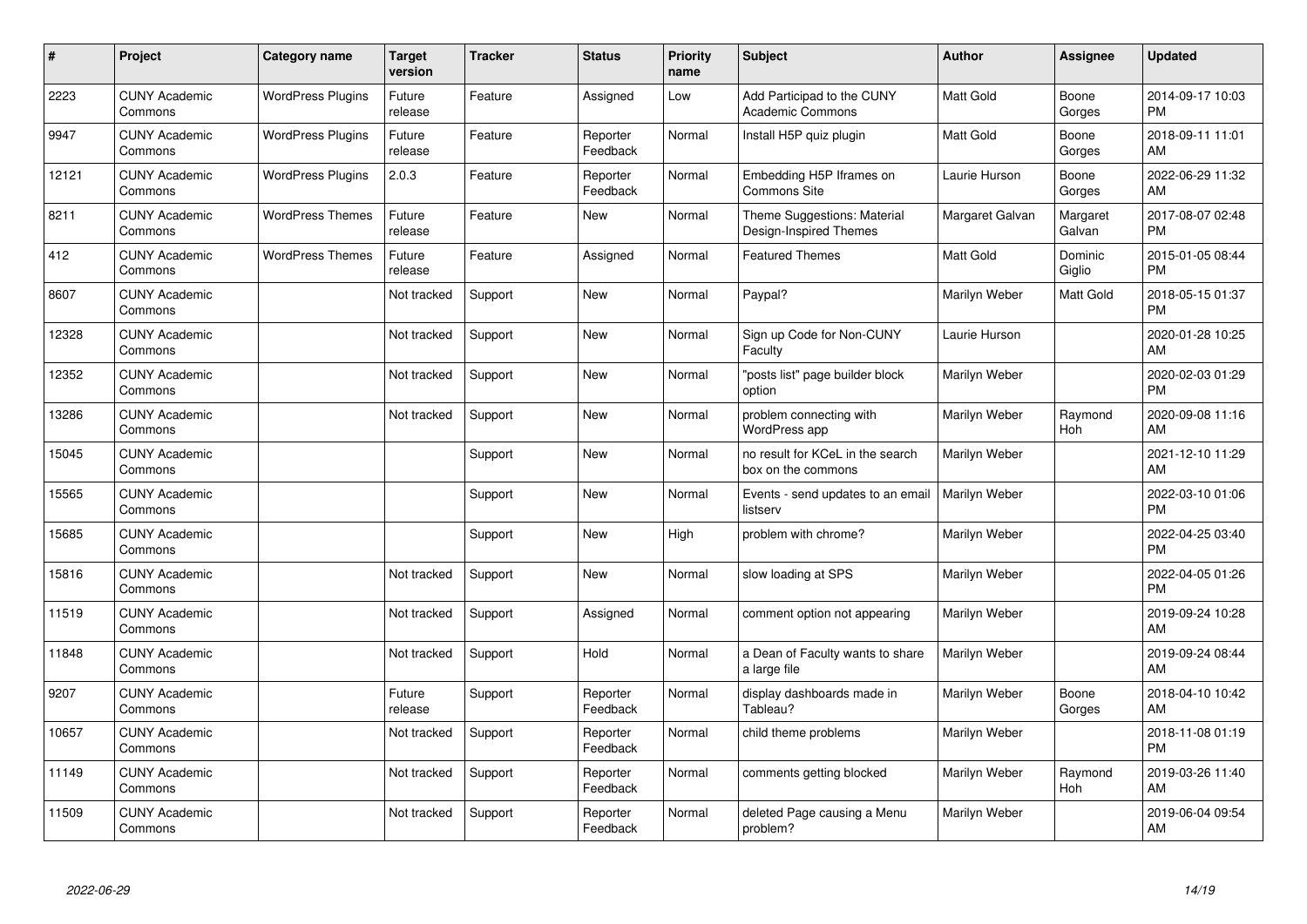| $\pmb{\sharp}$ | Project                         | <b>Category name</b>     | <b>Target</b><br>version | <b>Tracker</b> | <b>Status</b>        | <b>Priority</b><br>name | <b>Subject</b>                                         | <b>Author</b>    | Assignee           | <b>Updated</b>                |
|----------------|---------------------------------|--------------------------|--------------------------|----------------|----------------------|-------------------------|--------------------------------------------------------|------------------|--------------------|-------------------------------|
| 2223           | <b>CUNY Academic</b><br>Commons | <b>WordPress Plugins</b> | Future<br>release        | Feature        | Assigned             | Low                     | Add Participad to the CUNY<br><b>Academic Commons</b>  | <b>Matt Gold</b> | Boone<br>Gorges    | 2014-09-17 10:03<br><b>PM</b> |
| 9947           | <b>CUNY Academic</b><br>Commons | <b>WordPress Plugins</b> | Future<br>release        | Feature        | Reporter<br>Feedback | Normal                  | Install H5P quiz plugin                                | Matt Gold        | Boone<br>Gorges    | 2018-09-11 11:01<br>AM        |
| 12121          | <b>CUNY Academic</b><br>Commons | <b>WordPress Plugins</b> | 2.0.3                    | Feature        | Reporter<br>Feedback | Normal                  | Embedding H5P Iframes on<br><b>Commons Site</b>        | Laurie Hurson    | Boone<br>Gorges    | 2022-06-29 11:32<br>AM        |
| 8211           | <b>CUNY Academic</b><br>Commons | <b>WordPress Themes</b>  | Future<br>release        | Feature        | <b>New</b>           | Normal                  | Theme Suggestions: Material<br>Design-Inspired Themes  | Margaret Galvan  | Margaret<br>Galvan | 2017-08-07 02:48<br><b>PM</b> |
| 412            | <b>CUNY Academic</b><br>Commons | <b>WordPress Themes</b>  | Future<br>release        | Feature        | Assigned             | Normal                  | <b>Featured Themes</b>                                 | <b>Matt Gold</b> | Dominic<br>Giglio  | 2015-01-05 08:44<br><b>PM</b> |
| 8607           | <b>CUNY Academic</b><br>Commons |                          | Not tracked              | Support        | <b>New</b>           | Normal                  | Paypal?                                                | Marilyn Weber    | Matt Gold          | 2018-05-15 01:37<br><b>PM</b> |
| 12328          | <b>CUNY Academic</b><br>Commons |                          | Not tracked              | Support        | <b>New</b>           | Normal                  | Sign up Code for Non-CUNY<br>Faculty                   | Laurie Hurson    |                    | 2020-01-28 10:25<br>AM        |
| 12352          | <b>CUNY Academic</b><br>Commons |                          | Not tracked              | Support        | New                  | Normal                  | "posts list" page builder block<br>option              | Marilyn Weber    |                    | 2020-02-03 01:29<br><b>PM</b> |
| 13286          | <b>CUNY Academic</b><br>Commons |                          | Not tracked              | Support        | <b>New</b>           | Normal                  | problem connecting with<br>WordPress app               | Marilyn Weber    | Raymond<br>Hoh     | 2020-09-08 11:16<br>AM        |
| 15045          | <b>CUNY Academic</b><br>Commons |                          |                          | Support        | <b>New</b>           | Normal                  | no result for KCeL in the search<br>box on the commons | Marilyn Weber    |                    | 2021-12-10 11:29<br>AM        |
| 15565          | <b>CUNY Academic</b><br>Commons |                          |                          | Support        | <b>New</b>           | Normal                  | Events - send updates to an email<br>listserv          | Marilyn Weber    |                    | 2022-03-10 01:06<br><b>PM</b> |
| 15685          | <b>CUNY Academic</b><br>Commons |                          |                          | Support        | New                  | High                    | problem with chrome?                                   | Marilyn Weber    |                    | 2022-04-25 03:40<br><b>PM</b> |
| 15816          | <b>CUNY Academic</b><br>Commons |                          | Not tracked              | Support        | <b>New</b>           | Normal                  | slow loading at SPS                                    | Marilyn Weber    |                    | 2022-04-05 01:26<br><b>PM</b> |
| 11519          | <b>CUNY Academic</b><br>Commons |                          | Not tracked              | Support        | Assigned             | Normal                  | comment option not appearing                           | Marilyn Weber    |                    | 2019-09-24 10:28<br>AM        |
| 11848          | <b>CUNY Academic</b><br>Commons |                          | Not tracked              | Support        | Hold                 | Normal                  | a Dean of Faculty wants to share<br>a large file       | Marilyn Weber    |                    | 2019-09-24 08:44<br>AM        |
| 9207           | <b>CUNY Academic</b><br>Commons |                          | Future<br>release        | Support        | Reporter<br>Feedback | Normal                  | display dashboards made in<br>Tableau?                 | Marilyn Weber    | Boone<br>Gorges    | 2018-04-10 10:42<br>AM        |
| 10657          | <b>CUNY Academic</b><br>Commons |                          | Not tracked              | Support        | Reporter<br>Feedback | Normal                  | child theme problems                                   | Marilyn Weber    |                    | 2018-11-08 01:19<br><b>PM</b> |
| 11149          | <b>CUNY Academic</b><br>Commons |                          | Not tracked              | Support        | Reporter<br>Feedback | Normal                  | comments getting blocked                               | Marilyn Weber    | Raymond<br>Hoh     | 2019-03-26 11:40<br>AM        |
| 11509          | <b>CUNY Academic</b><br>Commons |                          | Not tracked              | Support        | Reporter<br>Feedback | Normal                  | deleted Page causing a Menu<br>problem?                | Marilyn Weber    |                    | 2019-06-04 09:54<br>AM        |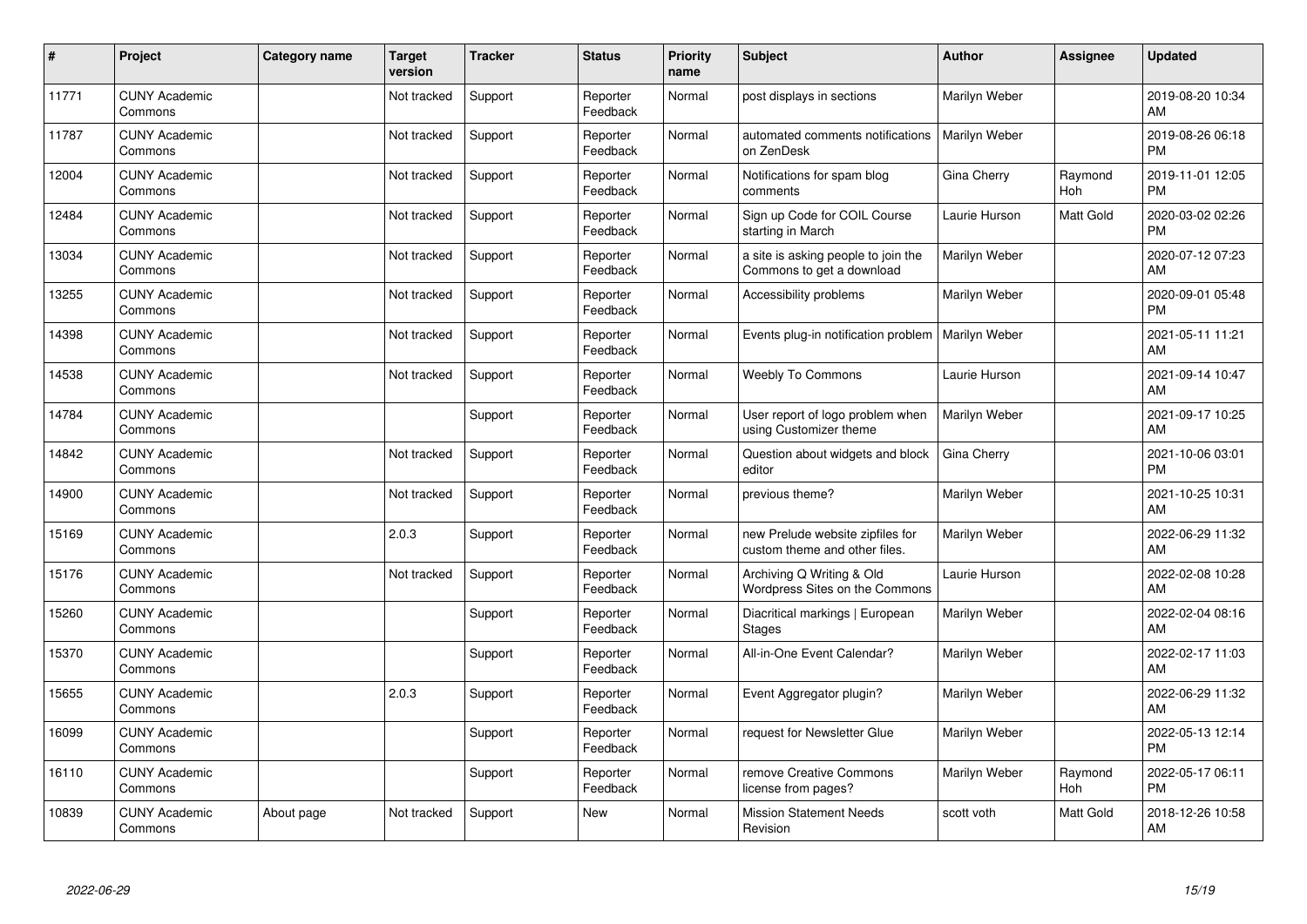| #     | Project                         | Category name | <b>Target</b><br>version | <b>Tracker</b> | <b>Status</b>        | <b>Priority</b><br>name | <b>Subject</b>                                                    | <b>Author</b> | <b>Assignee</b> | <b>Updated</b>                |
|-------|---------------------------------|---------------|--------------------------|----------------|----------------------|-------------------------|-------------------------------------------------------------------|---------------|-----------------|-------------------------------|
| 11771 | <b>CUNY Academic</b><br>Commons |               | Not tracked              | Support        | Reporter<br>Feedback | Normal                  | post displays in sections                                         | Marilyn Weber |                 | 2019-08-20 10:34<br>AM        |
| 11787 | <b>CUNY Academic</b><br>Commons |               | Not tracked              | Support        | Reporter<br>Feedback | Normal                  | automated comments notifications<br>on ZenDesk                    | Marilyn Weber |                 | 2019-08-26 06:18<br><b>PM</b> |
| 12004 | <b>CUNY Academic</b><br>Commons |               | Not tracked              | Support        | Reporter<br>Feedback | Normal                  | Notifications for spam blog<br>comments                           | Gina Cherry   | Raymond<br>Hoh  | 2019-11-01 12:05<br><b>PM</b> |
| 12484 | <b>CUNY Academic</b><br>Commons |               | Not tracked              | Support        | Reporter<br>Feedback | Normal                  | Sign up Code for COIL Course<br>starting in March                 | Laurie Hurson | Matt Gold       | 2020-03-02 02:26<br><b>PM</b> |
| 13034 | <b>CUNY Academic</b><br>Commons |               | Not tracked              | Support        | Reporter<br>Feedback | Normal                  | a site is asking people to join the<br>Commons to get a download  | Marilyn Weber |                 | 2020-07-12 07:23<br><b>AM</b> |
| 13255 | <b>CUNY Academic</b><br>Commons |               | Not tracked              | Support        | Reporter<br>Feedback | Normal                  | Accessibility problems                                            | Marilyn Weber |                 | 2020-09-01 05:48<br><b>PM</b> |
| 14398 | <b>CUNY Academic</b><br>Commons |               | Not tracked              | Support        | Reporter<br>Feedback | Normal                  | Events plug-in notification problem                               | Marilyn Weber |                 | 2021-05-11 11:21<br>AM        |
| 14538 | <b>CUNY Academic</b><br>Commons |               | Not tracked              | Support        | Reporter<br>Feedback | Normal                  | <b>Weebly To Commons</b>                                          | Laurie Hurson |                 | 2021-09-14 10:47<br>AM        |
| 14784 | <b>CUNY Academic</b><br>Commons |               |                          | Support        | Reporter<br>Feedback | Normal                  | User report of logo problem when<br>using Customizer theme        | Marilyn Weber |                 | 2021-09-17 10:25<br>AM        |
| 14842 | <b>CUNY Academic</b><br>Commons |               | Not tracked              | Support        | Reporter<br>Feedback | Normal                  | Question about widgets and block<br>editor                        | Gina Cherry   |                 | 2021-10-06 03:01<br>PM        |
| 14900 | <b>CUNY Academic</b><br>Commons |               | Not tracked              | Support        | Reporter<br>Feedback | Normal                  | previous theme?                                                   | Marilyn Weber |                 | 2021-10-25 10:31<br>AM        |
| 15169 | <b>CUNY Academic</b><br>Commons |               | 2.0.3                    | Support        | Reporter<br>Feedback | Normal                  | new Prelude website zipfiles for<br>custom theme and other files. | Marilyn Weber |                 | 2022-06-29 11:32<br>AM        |
| 15176 | <b>CUNY Academic</b><br>Commons |               | Not tracked              | Support        | Reporter<br>Feedback | Normal                  | Archiving Q Writing & Old<br>Wordpress Sites on the Commons       | Laurie Hurson |                 | 2022-02-08 10:28<br>AM        |
| 15260 | <b>CUNY Academic</b><br>Commons |               |                          | Support        | Reporter<br>Feedback | Normal                  | Diacritical markings   European<br><b>Stages</b>                  | Marilyn Weber |                 | 2022-02-04 08:16<br><b>AM</b> |
| 15370 | <b>CUNY Academic</b><br>Commons |               |                          | Support        | Reporter<br>Feedback | Normal                  | All-in-One Event Calendar?                                        | Marilyn Weber |                 | 2022-02-17 11:03<br><b>AM</b> |
| 15655 | <b>CUNY Academic</b><br>Commons |               | 2.0.3                    | Support        | Reporter<br>Feedback | Normal                  | Event Aggregator plugin?                                          | Marilyn Weber |                 | 2022-06-29 11:32<br>AM        |
| 16099 | <b>CUNY Academic</b><br>Commons |               |                          | Support        | Reporter<br>Feedback | Normal                  | request for Newsletter Glue                                       | Marilyn Weber |                 | 2022-05-13 12:14<br><b>PM</b> |
| 16110 | <b>CUNY Academic</b><br>Commons |               |                          | Support        | Reporter<br>Feedback | Normal                  | remove Creative Commons<br>license from pages?                    | Marilyn Weber | Raymond<br>Hoh  | 2022-05-17 06:11<br><b>PM</b> |
| 10839 | <b>CUNY Academic</b><br>Commons | About page    | Not tracked              | Support        | <b>New</b>           | Normal                  | <b>Mission Statement Needs</b><br>Revision                        | scott voth    | Matt Gold       | 2018-12-26 10:58<br>AM        |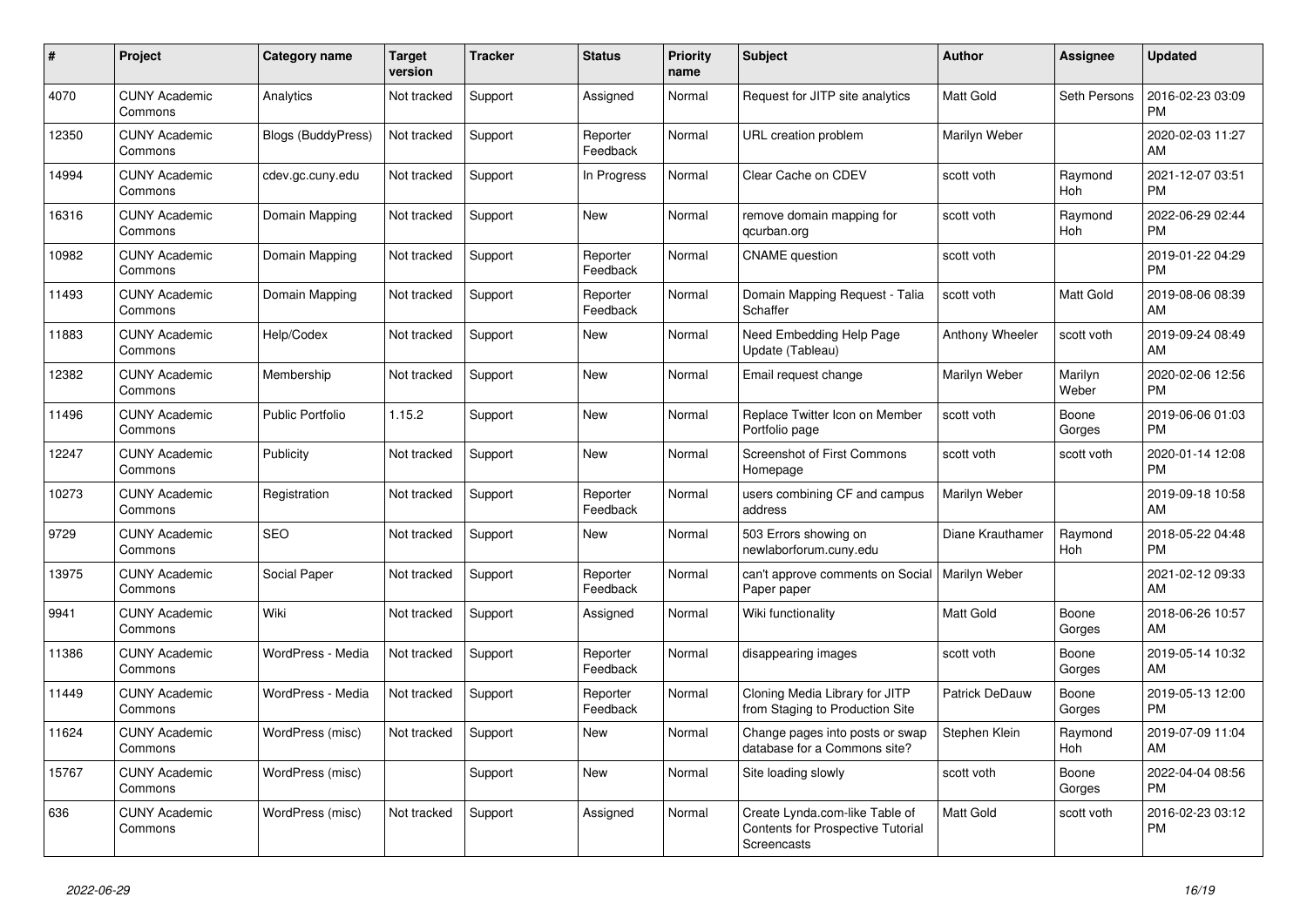| #     | Project                         | <b>Category name</b>      | <b>Target</b><br>version | <b>Tracker</b> | <b>Status</b>        | <b>Priority</b><br>name | <b>Subject</b>                                                                            | <b>Author</b>    | Assignee         | <b>Updated</b>                |
|-------|---------------------------------|---------------------------|--------------------------|----------------|----------------------|-------------------------|-------------------------------------------------------------------------------------------|------------------|------------------|-------------------------------|
| 4070  | <b>CUNY Academic</b><br>Commons | Analytics                 | Not tracked              | Support        | Assigned             | Normal                  | Request for JITP site analytics                                                           | <b>Matt Gold</b> | Seth Persons     | 2016-02-23 03:09<br><b>PM</b> |
| 12350 | <b>CUNY Academic</b><br>Commons | <b>Blogs (BuddyPress)</b> | Not tracked              | Support        | Reporter<br>Feedback | Normal                  | URL creation problem                                                                      | Marilyn Weber    |                  | 2020-02-03 11:27<br>AM        |
| 14994 | <b>CUNY Academic</b><br>Commons | cdev.gc.cuny.edu          | Not tracked              | Support        | In Progress          | Normal                  | Clear Cache on CDEV                                                                       | scott voth       | Raymond<br>Hoh   | 2021-12-07 03:51<br><b>PM</b> |
| 16316 | <b>CUNY Academic</b><br>Commons | Domain Mapping            | Not tracked              | Support        | <b>New</b>           | Normal                  | remove domain mapping for<br>qcurban.org                                                  | scott voth       | Raymond<br>Hoh   | 2022-06-29 02:44<br><b>PM</b> |
| 10982 | <b>CUNY Academic</b><br>Commons | Domain Mapping            | Not tracked              | Support        | Reporter<br>Feedback | Normal                  | <b>CNAME</b> question                                                                     | scott voth       |                  | 2019-01-22 04:29<br><b>PM</b> |
| 11493 | <b>CUNY Academic</b><br>Commons | Domain Mapping            | Not tracked              | Support        | Reporter<br>Feedback | Normal                  | Domain Mapping Request - Talia<br>Schaffer                                                | scott voth       | Matt Gold        | 2019-08-06 08:39<br>AM        |
| 11883 | <b>CUNY Academic</b><br>Commons | Help/Codex                | Not tracked              | Support        | <b>New</b>           | Normal                  | Need Embedding Help Page<br>Update (Tableau)                                              | Anthony Wheeler  | scott voth       | 2019-09-24 08:49<br>AM        |
| 12382 | <b>CUNY Academic</b><br>Commons | Membership                | Not tracked              | Support        | <b>New</b>           | Normal                  | Email request change                                                                      | Marilyn Weber    | Marilyn<br>Weber | 2020-02-06 12:56<br><b>PM</b> |
| 11496 | <b>CUNY Academic</b><br>Commons | <b>Public Portfolio</b>   | 1.15.2                   | Support        | <b>New</b>           | Normal                  | Replace Twitter Icon on Member<br>Portfolio page                                          | scott voth       | Boone<br>Gorges  | 2019-06-06 01:03<br><b>PM</b> |
| 12247 | <b>CUNY Academic</b><br>Commons | Publicity                 | Not tracked              | Support        | <b>New</b>           | Normal                  | <b>Screenshot of First Commons</b><br>Homepage                                            | scott voth       | scott voth       | 2020-01-14 12:08<br><b>PM</b> |
| 10273 | <b>CUNY Academic</b><br>Commons | Registration              | Not tracked              | Support        | Reporter<br>Feedback | Normal                  | users combining CF and campus<br>address                                                  | Marilyn Weber    |                  | 2019-09-18 10:58<br>AM        |
| 9729  | <b>CUNY Academic</b><br>Commons | <b>SEO</b>                | Not tracked              | Support        | New                  | Normal                  | 503 Errors showing on<br>newlaborforum.cuny.edu                                           | Diane Krauthamer | Raymond<br>Hoh   | 2018-05-22 04:48<br><b>PM</b> |
| 13975 | <b>CUNY Academic</b><br>Commons | Social Paper              | Not tracked              | Support        | Reporter<br>Feedback | Normal                  | can't approve comments on Social<br>Paper paper                                           | Marilyn Weber    |                  | 2021-02-12 09:33<br>AM        |
| 9941  | <b>CUNY Academic</b><br>Commons | Wiki                      | Not tracked              | Support        | Assigned             | Normal                  | Wiki functionality                                                                        | <b>Matt Gold</b> | Boone<br>Gorges  | 2018-06-26 10:57<br>AM        |
| 11386 | <b>CUNY Academic</b><br>Commons | WordPress - Media         | Not tracked              | Support        | Reporter<br>Feedback | Normal                  | disappearing images                                                                       | scott voth       | Boone<br>Gorges  | 2019-05-14 10:32<br>AM        |
| 11449 | <b>CUNY Academic</b><br>Commons | WordPress - Media         | Not tracked              | Support        | Reporter<br>Feedback | Normal                  | Cloning Media Library for JITP<br>from Staging to Production Site                         | Patrick DeDauw   | Boone<br>Gorges  | 2019-05-13 12:00<br><b>PM</b> |
| 11624 | <b>CUNY Academic</b><br>Commons | WordPress (misc)          | Not tracked              | Support        | <b>New</b>           | Normal                  | Change pages into posts or swap<br>database for a Commons site?                           | Stephen Klein    | Raymond<br>Hoh   | 2019-07-09 11:04<br>AM        |
| 15767 | <b>CUNY Academic</b><br>Commons | WordPress (misc)          |                          | Support        | <b>New</b>           | Normal                  | Site loading slowly                                                                       | scott voth       | Boone<br>Gorges  | 2022-04-04 08:56<br><b>PM</b> |
| 636   | <b>CUNY Academic</b><br>Commons | WordPress (misc)          | Not tracked              | Support        | Assigned             | Normal                  | Create Lynda.com-like Table of<br><b>Contents for Prospective Tutorial</b><br>Screencasts | Matt Gold        | scott voth       | 2016-02-23 03:12<br><b>PM</b> |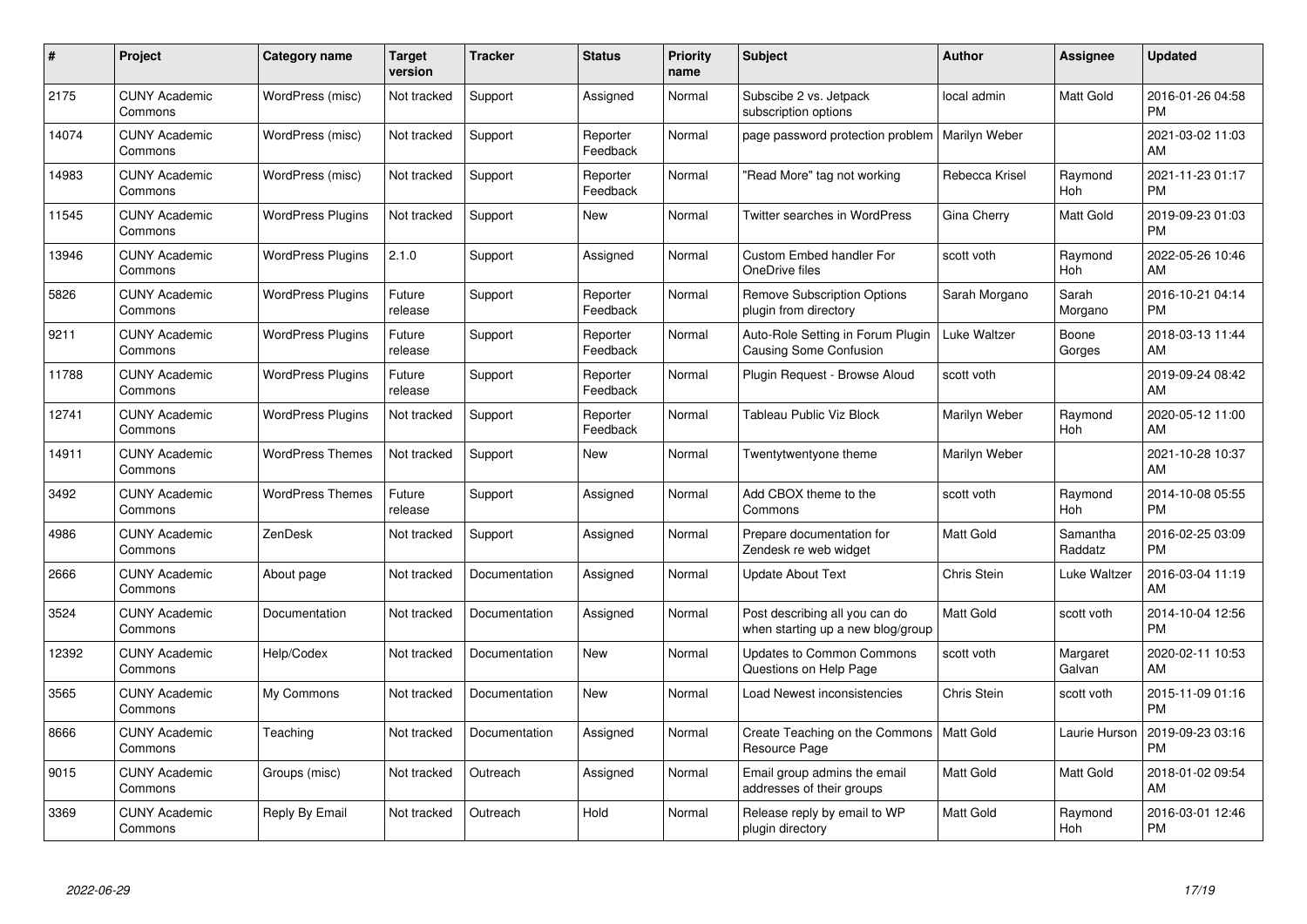| #     | Project                         | <b>Category name</b>     | <b>Target</b><br>version | <b>Tracker</b> | <b>Status</b>        | <b>Priority</b><br>name | <b>Subject</b>                                                      | <b>Author</b>    | <b>Assignee</b>     | <b>Updated</b>                |
|-------|---------------------------------|--------------------------|--------------------------|----------------|----------------------|-------------------------|---------------------------------------------------------------------|------------------|---------------------|-------------------------------|
| 2175  | <b>CUNY Academic</b><br>Commons | WordPress (misc)         | Not tracked              | Support        | Assigned             | Normal                  | Subscibe 2 vs. Jetpack<br>subscription options                      | local admin      | <b>Matt Gold</b>    | 2016-01-26 04:58<br><b>PM</b> |
| 14074 | <b>CUNY Academic</b><br>Commons | WordPress (misc)         | Not tracked              | Support        | Reporter<br>Feedback | Normal                  | page password protection problem                                    | Marilyn Weber    |                     | 2021-03-02 11:03<br>AM        |
| 14983 | <b>CUNY Academic</b><br>Commons | WordPress (misc)         | Not tracked              | Support        | Reporter<br>Feedback | Normal                  | "Read More" tag not working                                         | Rebecca Krisel   | Raymond<br>Hoh      | 2021-11-23 01:17<br><b>PM</b> |
| 11545 | <b>CUNY Academic</b><br>Commons | <b>WordPress Plugins</b> | Not tracked              | Support        | <b>New</b>           | Normal                  | Twitter searches in WordPress                                       | Gina Cherry      | Matt Gold           | 2019-09-23 01:03<br><b>PM</b> |
| 13946 | <b>CUNY Academic</b><br>Commons | <b>WordPress Plugins</b> | 2.1.0                    | Support        | Assigned             | Normal                  | <b>Custom Embed handler For</b><br>OneDrive files                   | scott voth       | Raymond<br>Hoh      | 2022-05-26 10:46<br>AM        |
| 5826  | <b>CUNY Academic</b><br>Commons | <b>WordPress Plugins</b> | Future<br>release        | Support        | Reporter<br>Feedback | Normal                  | <b>Remove Subscription Options</b><br>plugin from directory         | Sarah Morgano    | Sarah<br>Morgano    | 2016-10-21 04:14<br><b>PM</b> |
| 9211  | <b>CUNY Academic</b><br>Commons | <b>WordPress Plugins</b> | Future<br>release        | Support        | Reporter<br>Feedback | Normal                  | Auto-Role Setting in Forum Plugin<br>Causing Some Confusion         | Luke Waltzer     | Boone<br>Gorges     | 2018-03-13 11:44<br>AM        |
| 11788 | <b>CUNY Academic</b><br>Commons | <b>WordPress Plugins</b> | Future<br>release        | Support        | Reporter<br>Feedback | Normal                  | Plugin Request - Browse Aloud                                       | scott voth       |                     | 2019-09-24 08:42<br>AM        |
| 12741 | <b>CUNY Academic</b><br>Commons | <b>WordPress Plugins</b> | Not tracked              | Support        | Reporter<br>Feedback | Normal                  | Tableau Public Viz Block                                            | Marilyn Weber    | Raymond<br>Hoh      | 2020-05-12 11:00<br>AM        |
| 14911 | <b>CUNY Academic</b><br>Commons | <b>WordPress Themes</b>  | Not tracked              | Support        | New                  | Normal                  | Twentytwentyone theme                                               | Marilyn Weber    |                     | 2021-10-28 10:37<br>AM        |
| 3492  | <b>CUNY Academic</b><br>Commons | <b>WordPress Themes</b>  | Future<br>release        | Support        | Assigned             | Normal                  | Add CBOX theme to the<br>Commons                                    | scott voth       | Raymond<br>Hoh      | 2014-10-08 05:55<br><b>PM</b> |
| 4986  | <b>CUNY Academic</b><br>Commons | ZenDesk                  | Not tracked              | Support        | Assigned             | Normal                  | Prepare documentation for<br>Zendesk re web widget                  | Matt Gold        | Samantha<br>Raddatz | 2016-02-25 03:09<br><b>PM</b> |
| 2666  | <b>CUNY Academic</b><br>Commons | About page               | Not tracked              | Documentation  | Assigned             | Normal                  | <b>Update About Text</b>                                            | Chris Stein      | Luke Waltzer        | 2016-03-04 11:19<br>AM        |
| 3524  | <b>CUNY Academic</b><br>Commons | Documentation            | Not tracked              | Documentation  | Assigned             | Normal                  | Post describing all you can do<br>when starting up a new blog/group | Matt Gold        | scott voth          | 2014-10-04 12:56<br><b>PM</b> |
| 12392 | <b>CUNY Academic</b><br>Commons | Help/Codex               | Not tracked              | Documentation  | New                  | Normal                  | <b>Updates to Common Commons</b><br>Questions on Help Page          | scott voth       | Margaret<br>Galvan  | 2020-02-11 10:53<br>AM        |
| 3565  | <b>CUNY Academic</b><br>Commons | My Commons               | Not tracked              | Documentation  | <b>New</b>           | Normal                  | Load Newest inconsistencies                                         | Chris Stein      | scott voth          | 2015-11-09 01:16<br><b>PM</b> |
| 8666  | <b>CUNY Academic</b><br>Commons | Teaching                 | Not tracked              | Documentation  | Assigned             | Normal                  | Create Teaching on the Commons   Matt Gold<br>Resource Page         |                  | Laurie Hurson       | 2019-09-23 03:16<br><b>PM</b> |
| 9015  | <b>CUNY Academic</b><br>Commons | Groups (misc)            | Not tracked              | Outreach       | Assigned             | Normal                  | Email group admins the email<br>addresses of their groups           | Matt Gold        | Matt Gold           | 2018-01-02 09:54<br>AM        |
| 3369  | <b>CUNY Academic</b><br>Commons | Reply By Email           | Not tracked              | Outreach       | Hold                 | Normal                  | Release reply by email to WP<br>plugin directory                    | <b>Matt Gold</b> | Raymond<br>Hoh      | 2016-03-01 12:46<br><b>PM</b> |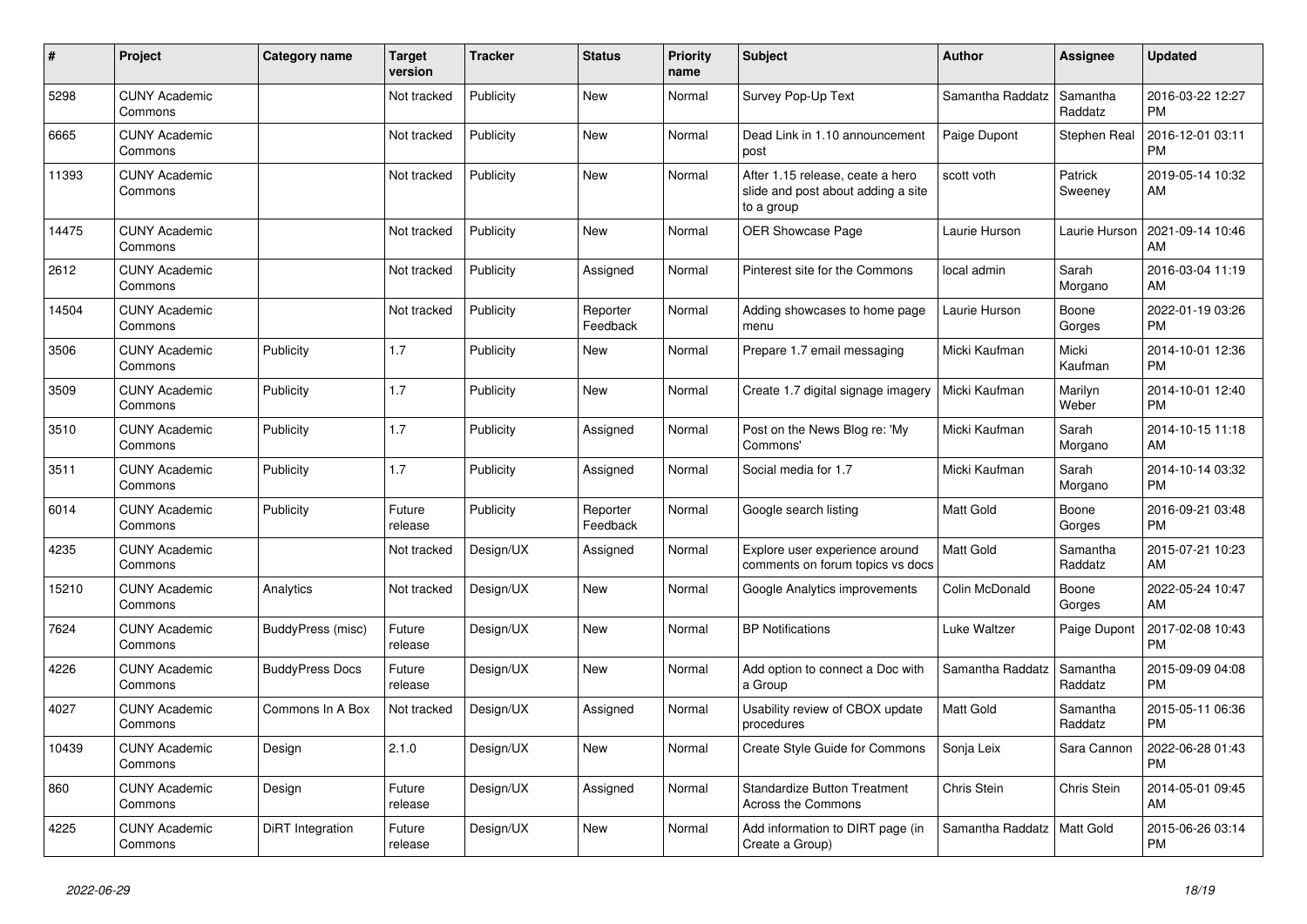| #     | <b>Project</b>                  | <b>Category name</b>   | <b>Target</b><br>version | <b>Tracker</b> | <b>Status</b>        | <b>Priority</b><br>name | <b>Subject</b>                                                                       | <b>Author</b>    | Assignee            | <b>Updated</b>                |
|-------|---------------------------------|------------------------|--------------------------|----------------|----------------------|-------------------------|--------------------------------------------------------------------------------------|------------------|---------------------|-------------------------------|
| 5298  | <b>CUNY Academic</b><br>Commons |                        | Not tracked              | Publicity      | New                  | Normal                  | Survey Pop-Up Text                                                                   | Samantha Raddatz | Samantha<br>Raddatz | 2016-03-22 12:27<br><b>PM</b> |
| 6665  | <b>CUNY Academic</b><br>Commons |                        | Not tracked              | Publicity      | New                  | Normal                  | Dead Link in 1.10 announcement<br>post                                               | Paige Dupont     | Stephen Real        | 2016-12-01 03:11<br><b>PM</b> |
| 11393 | <b>CUNY Academic</b><br>Commons |                        | Not tracked              | Publicity      | <b>New</b>           | Normal                  | After 1.15 release, ceate a hero<br>slide and post about adding a site<br>to a group | scott voth       | Patrick<br>Sweeney  | 2019-05-14 10:32<br>AM        |
| 14475 | <b>CUNY Academic</b><br>Commons |                        | Not tracked              | Publicity      | <b>New</b>           | Normal                  | <b>OER Showcase Page</b>                                                             | Laurie Hurson    | Laurie Hurson       | 2021-09-14 10:46<br>AM        |
| 2612  | <b>CUNY Academic</b><br>Commons |                        | Not tracked              | Publicity      | Assigned             | Normal                  | Pinterest site for the Commons                                                       | local admin      | Sarah<br>Morgano    | 2016-03-04 11:19<br>AM        |
| 14504 | <b>CUNY Academic</b><br>Commons |                        | Not tracked              | Publicity      | Reporter<br>Feedback | Normal                  | Adding showcases to home page<br>menu                                                | Laurie Hurson    | Boone<br>Gorges     | 2022-01-19 03:26<br><b>PM</b> |
| 3506  | <b>CUNY Academic</b><br>Commons | Publicity              | 1.7                      | Publicity      | <b>New</b>           | Normal                  | Prepare 1.7 email messaging                                                          | Micki Kaufman    | Micki<br>Kaufman    | 2014-10-01 12:36<br><b>PM</b> |
| 3509  | <b>CUNY Academic</b><br>Commons | Publicity              | 1.7                      | Publicity      | New                  | Normal                  | Create 1.7 digital signage imagery                                                   | Micki Kaufman    | Marilyn<br>Weber    | 2014-10-01 12:40<br><b>PM</b> |
| 3510  | <b>CUNY Academic</b><br>Commons | Publicity              | 1.7                      | Publicity      | Assigned             | Normal                  | Post on the News Blog re: 'My<br>Commons'                                            | Micki Kaufman    | Sarah<br>Morgano    | 2014-10-15 11:18<br><b>AM</b> |
| 3511  | <b>CUNY Academic</b><br>Commons | Publicity              | 1.7                      | Publicity      | Assigned             | Normal                  | Social media for 1.7                                                                 | Micki Kaufman    | Sarah<br>Morgano    | 2014-10-14 03:32<br><b>PM</b> |
| 6014  | <b>CUNY Academic</b><br>Commons | Publicity              | Future<br>release        | Publicity      | Reporter<br>Feedback | Normal                  | Google search listing                                                                | Matt Gold        | Boone<br>Gorges     | 2016-09-21 03:48<br><b>PM</b> |
| 4235  | <b>CUNY Academic</b><br>Commons |                        | Not tracked              | Design/UX      | Assigned             | Normal                  | Explore user experience around<br>comments on forum topics vs docs                   | <b>Matt Gold</b> | Samantha<br>Raddatz | 2015-07-21 10:23<br><b>AM</b> |
| 15210 | <b>CUNY Academic</b><br>Commons | Analytics              | Not tracked              | Design/UX      | <b>New</b>           | Normal                  | Google Analytics improvements                                                        | Colin McDonald   | Boone<br>Gorges     | 2022-05-24 10:47<br>AM        |
| 7624  | <b>CUNY Academic</b><br>Commons | BuddyPress (misc)      | Future<br>release        | Design/UX      | <b>New</b>           | Normal                  | <b>BP Notifications</b>                                                              | Luke Waltzer     | Paige Dupont        | 2017-02-08 10:43<br><b>PM</b> |
| 4226  | <b>CUNY Academic</b><br>Commons | <b>BuddyPress Docs</b> | Future<br>release        | Design/UX      | New                  | Normal                  | Add option to connect a Doc with<br>a Group                                          | Samantha Raddatz | Samantha<br>Raddatz | 2015-09-09 04:08<br><b>PM</b> |
| 4027  | <b>CUNY Academic</b><br>Commons | Commons In A Box       | Not tracked              | Design/UX      | Assigned             | Normal                  | Usability review of CBOX update<br>procedures                                        | Matt Gold        | Samantha<br>Raddatz | 2015-05-11 06:36<br><b>PM</b> |
| 10439 | <b>CUNY Academic</b><br>Commons | Design                 | 2.1.0                    | Design/UX      | <b>New</b>           | Normal                  | Create Style Guide for Commons                                                       | Sonja Leix       | Sara Cannon         | 2022-06-28 01:43<br><b>PM</b> |
| 860   | <b>CUNY Academic</b><br>Commons | Design                 | Future<br>release        | Design/UX      | Assigned             | Normal                  | <b>Standardize Button Treatment</b><br>Across the Commons                            | Chris Stein      | Chris Stein         | 2014-05-01 09:45<br>AM        |
| 4225  | <b>CUNY Academic</b><br>Commons | DiRT Integration       | Future<br>release        | Design/UX      | <b>New</b>           | Normal                  | Add information to DIRT page (in<br>Create a Group)                                  | Samantha Raddatz | Matt Gold           | 2015-06-26 03:14<br><b>PM</b> |